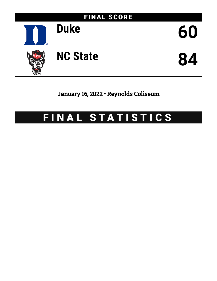

January 16, 2022 • Reynolds Coliseum

# FINAL STATISTICS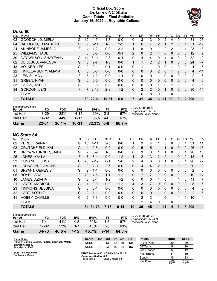# **Official Box Score Duke vs NC State Game Totals -- Final Statistics January 16, 2022 at Reynolds Coliseum**



# **Duke 60**

| No. | Player                    | S | Pts      | FG       | 3FG       | FT      | 0R | <b>DR</b>    | TR             | PF       | A  | TO           | <b>B</b> lk | Stl          | Min   | $+/-$ |
|-----|---------------------------|---|----------|----------|-----------|---------|----|--------------|----------------|----------|----|--------------|-------------|--------------|-------|-------|
| 03  | GOODCHILD, MIELA          | G | 12       | $4-9$    | $4 - 8$   | $0 - 0$ | 0  | 3            | 3              | $\Omega$ | 2  | 4            | $\Omega$    | 0            | 31    | $-26$ |
| 04  | <b>BALOGUN, ELIZABETH</b> | G | 9        | $3 - 11$ | $1 - 3$   | $2 - 2$ | 1  | 6            | 7              | 2        |    | 2            | 0           | 1            | 31    | $-19$ |
| 24  | AKINBODE-JAMES, O.        | F | 4        | $1 - 2$  | $0 - 0$   | $2 - 2$ | 1  | 8            | 9              | 1        | 2  | 2            |             | 1            | 23    | $-13$ |
| 25  | <b>WILLIAMS, JADE</b>     | F | 6        | $3 - 5$  | $0 - 0$   | $0 - 1$ | 2  | $\mathbf{0}$ | $\overline{2}$ | 4        | 0  | 0            | $\Omega$    | 0            | 12    | 2     |
| 30  | DAY-WILSON, SHAYEANN      | G | 14       | $6 - 14$ | $2 - 8$   | $0 - 1$ | 0  | 4            | 4              | $\Omega$ | 4  | 6            | $\Omega$    | 0            | 32    | -12   |
| 02  | DE JESUS, VANESSA         | G | 5        | $2 - 7$  | $1 - 3$   | $0 - 0$ |    | 1            | $\overline{2}$ | 2        |    | 0            | $\Omega$    | $\mathbf{0}$ | 24    | $-7$  |
| 13  | <b>VOLKER, LEE</b>        | G | 0        | $0 - 1$  | $0 - 1$   | $0 - 0$ | 0  | 1            | 1              | 0        | 0  | 1            | 0           | $\mathbf 0$  | 4     | -6    |
| 22  | FINKLEA-GUITY, AMAYA      | С | 0        | $0 - 0$  | $0 - 0$   | $0 - 0$ | 0  | $\mathbf{0}$ | $\mathbf{0}$   | 2        | 0  |              | 2           | $\Omega$     | 4     | $-11$ |
| 23  | LEWIS, IMANI              | F | 3        | $1 - 2$  | $0 - 0$   | $1 - 1$ | 0  | 0            | $\mathbf{0}$   | 1        | 0  | $\Omega$     | 0           | 0            | 2     | -6    |
| 31  | <b>GREEN, NYAH</b>        | G | $\Omega$ | $0 - 0$  | $0 - 0$   | $0 - 0$ | 0  | $\mathbf{0}$ | $\mathbf{0}$   | $\Omega$ | 0  | $\mathbf{0}$ | $\Omega$    | 0            | 4     | $-6$  |
| 33  | HAVAS, JISELLE            | G | 0        | $0 - 0$  | $0 - 0$   | $0 - 0$ | 0  | 0            | $\mathbf{0}$   | 1        | 0  |              | 0           | 0            | 3     | -6    |
| 34  | <b>GORDON, LEXI</b>       | F |          | $2 - 10$ | $2 - 8$   | $1 - 2$ | 0  | 2            | $\overline{2}$ | 0        |    | 0            | 0           | $\mathbf{0}$ | 30    | $-14$ |
|     | <b>TEAM</b>               |   |          |          |           |         | 2  | 6            | 8              | 0        |    | $\mathbf{0}$ |             |              |       |       |
|     | <b>TOTALS</b>             |   |          | 60 22-61 | $10 - 31$ | $6 - 9$ | 7  | 31           | 38             | 13       | 11 | 17           | 3           |              | 2 200 |       |

| Game                                | 22-61     | 36.1% | $10 - 31$ | 32.3% | $6-9$   | 66.7% |                                             |
|-------------------------------------|-----------|-------|-----------|-------|---------|-------|---------------------------------------------|
| 2nd Half                            | $14 - 32$ | 44%   | հ-17      | 35%   | 4-6     | 67%   |                                             |
| 1st Half                            | $8-29$    | 28%   | 4-14      | 29%   | $2 - 3$ | 67%   | Technical Fouls: None.                      |
| <b>Shooting By Period</b><br>Period | FG        | FG%   | 3FG       | 3FG%  | FT      | FT%   | Last FG: 4th-01:35<br>Largest lead: By 0 at |

# **NC State 84**

|     | -------                 |    |               |          |          |          |                |          |                |                |    |          |              |          |                |       |
|-----|-------------------------|----|---------------|----------|----------|----------|----------------|----------|----------------|----------------|----|----------|--------------|----------|----------------|-------|
| No. | Player                  | S  | Pts           | FG       | 3FG      | FТ       | 0 <sub>R</sub> | DR       | TR             | PF             | A  | то       | <b>B</b> lk  | Stl      | Min            | $+/-$ |
| 02  | PEREZ, RAINA            | G  | 10            | $4 - 11$ | $2 - 3$  | $0-0$    | 1              | 3        | 4              |                | 3  | 0        | 0            |          | 31             | 14    |
| 03  | <b>CRUTCHFIELD, KAI</b> | G  | 4             | $2 - 5$  | $0 - 0$  | $0 - 0$  | $\mathbf{0}$   | 5        | 5              |                |    | 0        | $\mathbf{0}$ | 2        | 26             | 15    |
| 11  | BROWN-TURNER, JAKIA     | G  | 7             | $3-9$    | 1-3      | $0 - 0$  | 0              | 3        | 3              |                | 1  | 0        | 0            | 1        | 26             | 16    |
| 25  | JONES, KAYLA            | F  |               | $3 - 4$  | $0 - 0$  | $1 - 2$  | $\mathbf{1}$   | 2        | 3              | $\overline{2}$ | 2  |          | $\mathbf{0}$ | 0        | 13             | 8     |
| 33  | <b>CUNANE, ELISSA</b>   | С  | 23            | $9 - 17$ | $0 - 1$  | $5-6$    | 2              | 4        | 6              | 0              |    | 0        | 0            |          | 28             | 22    |
| 00  | JOHNSON, DIAMOND        | G  | 8             | $3 - 11$ | $2 - 5$  | $0 - 0$  | $\Omega$       | 4        | 4              | $\mathcal{P}$  | 3  | 1        | $\Omega$     | 3        | 20             | 0     |
| 01  | <b>BRYANT, GENESIS</b>  | G  | 2             | $1 - 1$  | $0 - 0$  | $0 - 0$  | $\mathbf{0}$   | 0        | $\mathbf{0}$   | 0              | 0  | 0        | 0            | 0        | 2              | 6     |
| 05  | BOYD, JADA              | F. | 10            | $4-6$    | $1 - 1$  | $1 - 2$  | $\Omega$       | 7        | 7              |                | 0  | $\Omega$ |              | $\Omega$ | 19             | 14    |
| 10  | JAMES, AZIAHA           | G  | 8             | $3 - 4$  | $1 - 2$  | $1 - 2$  | 0              | 0        | $\mathbf{0}$   |                | 0  |          |              | 0        | 11             | 7     |
| 21  | <b>HAYES, MADISON</b>   | G  | $\mathbf{1}$  | $0 - 0$  | $0 - 0$  | $1 - 2$  | 4              | 3        | $\overline{7}$ | $\Omega$       | 0  | 0        | $\Omega$     | $\Omega$ | 8              | 6     |
| 23  | TIMMONS, JESSICA        | G  | 0             | $0 - 1$  | $0 - 0$  | $0 - 0$  | $\Omega$       | 0        | $\mathbf{0}$   | 0              | 0  | 0        | 0            | 0        | 4              | 6     |
| 32  | HART, SOPHIE            | C  | $\mathcal{P}$ | $1 - 1$  | $0 - 0$  | $0 - 0$  | $\mathbf{0}$   | $\Omega$ | $\mathbf{0}$   |                | 0  | $\Omega$ | $\mathbf{0}$ | $\Omega$ | $\overline{2}$ | 6     |
| 41  | <b>HOBBY, CAMILLE</b>   | С  | 2             | $1 - 3$  | $0 - 0$  | $0 - 0$  | $\Omega$       | 2        | 2              |                | 0  |          |              | 0        | 10             | $-4$  |
|     | <b>TEAM</b>             |    |               |          |          |          | 2              | 2        | 4              | $\Omega$       |    | 0        |              |          |                |       |
|     | <b>TOTALS</b>           |    |               | 84 34-73 | $7 - 15$ | $9 - 14$ | 10             | 35       | 45             | 11             | 11 | 4        | 3            | 8        | 200            |       |
|     |                         |    |               |          |          |          |                |          |                |                |    |          |              |          |                |       |

| Game                                | $34 - 73$ | 46.6% | $7 - 15$ | 46.7% | $9 - 14$ | 64.3% |
|-------------------------------------|-----------|-------|----------|-------|----------|-------|
| 2nd Half                            | 17-32     | 53%   | $3 - 7$  | 43%   | $5-8$    | 63%   |
| 1st Half                            | 17-41     | 41%   | 4-8      | .50%  | 4-6      | 67%   |
| <b>Shooting By Period</b><br>Period | FG        | FG%   | 3FG      | 3FG%  | FТ       | FT%   |

*Last FG:* 4th-00:40 *Largest lead:* By 24 at *Technical Fouls:* None.

| Game Notes:                                                                 | <b>Score</b>                                   | 1st. | 2nd             | 3rd | 4th | <b>TOT</b> | <b>Points</b>     | <b>DUKE</b>    | <b>NCSU</b>    |
|-----------------------------------------------------------------------------|------------------------------------------------|------|-----------------|-----|-----|------------|-------------------|----------------|----------------|
| Officials: Denise Brooks, Pualani Spurlock-Welsh,<br><b>Edward Sidlasky</b> | <b>DUKE</b>                                    | 9    | 13              | 19  | 19  | 60         | In the Paint      | 20             | 40             |
| Attendance: 5500                                                            | <b>NCSU</b>                                    | 19   | 23              | 18  | 24  | 84         | Off Turns         |                | 20             |
|                                                                             |                                                |      |                 |     |     |            | 2nd Chance        |                | 12             |
| Start Time: 09:00 PM<br>Conference Game;                                    | DUKE led for 0:00. NCSU led for 39:29.         |      |                 |     |     |            | <b>Fast Break</b> |                | 10             |
|                                                                             | Game was tied for 0:0.<br>Times tied: <b>0</b> |      | Lead Changes: 0 |     |     |            | Bench             | 15             | 33             |
|                                                                             |                                                |      |                 |     |     |            | Per Poss          | 0.800<br>25/75 | 1.151<br>39/73 |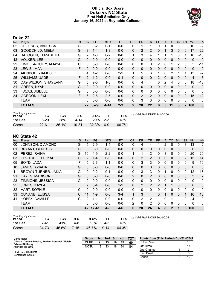# **Official Box Score Duke vs NC State First Half Statistics Only January 16, 2022 at Reynolds Coliseum**



# **Duke 22**

| No. | Player                    | S  | <b>Pts</b>    | <b>FG</b> | 3FG      | <b>FT</b> | <b>OR</b>      | <b>DR</b> | <b>TR</b>      | <b>PF</b>      | A            | <b>TO</b> | <b>Blk</b>   | Stl          | Min          | $+/-$    |
|-----|---------------------------|----|---------------|-----------|----------|-----------|----------------|-----------|----------------|----------------|--------------|-----------|--------------|--------------|--------------|----------|
| 02  | DE JESUS, VANESSA         | G  | 0             | $0 - 2$   | $0 - 1$  | $0 - 0$   | 0              | 1         |                |                |              | 0         | 0            | 0            | 10           | $-2$     |
| 03  | <b>GOODCHILD, MIELA</b>   | G  | 3             | $1 - 4$   | $1 - 3$  | $0 - 0$   | $\mathbf{0}$   | 2         | $\overline{2}$ | 0              |              | 3         | $\mathbf{0}$ | 0            | 17           | $-22$    |
| 04  | <b>BALOGUN, ELIZABETH</b> | G  | 2             | 1-8       | $0 - 2$  | $0 - 0$   | 1              | 3         | 4              | 1              | 1            |           | $\Omega$     | 1            | 18           | $-16$    |
| 13  | <b>VOLKER, LEE</b>        | G  | $\Omega$      | $0 - 0$   | $0 - 0$  | $0 - 0$   | $\mathbf{0}$   | $\Omega$  | $\Omega$       | 0              | 0            | 0         | $\mathbf{0}$ | $\mathbf{0}$ | $\mathbf{0}$ | 0        |
| 22  | FINKLEA-GUITY, AMAYA      | С  | 0             | $0 - 0$   | $0 - 0$  | $0 - 0$   | 0              | 0         | 0              | 2              | 0            |           | 2            | $\Omega$     | 5            | $-11$    |
| 23  | LEWIS, IMANI              | F  | $\Omega$      | $0 - 0$   | $0 - 0$  | $0 - 0$   | $\mathbf{0}$   | $\Omega$  | $\Omega$       | 0              | $\mathbf{0}$ | 0         | $\mathbf{0}$ | $\mathbf{0}$ | $\mathbf{0}$ | 0        |
| 24  | AKINBODE-JAMES, O.        | F  | 4             | $1 - 2$   | $0 - 0$  | $2 - 2$   | 1              | 5         | 6              | 1              | 0            | 2         |              | 1            | 13           | $-7$     |
| 25  | <b>WILLIAMS, JADE</b>     | F. | $\mathcal{P}$ | $1 - 2$   | $0 - 0$  | $0 - 1$   | $\Omega$       | $\Omega$  | $\Omega$       | $\overline{2}$ | 0            | $\Omega$  | $\Omega$     | $\Omega$     | 4            | -6       |
| 30  | DAY-WILSON, SHAYEANN      | G  | 5             | $2 - 5$   | $1 - 3$  | $0 - 0$   | 0              | 4         | 4              | 0              | 2            | 4         | 0            | 0            | 18           | $-18$    |
| 31  | <b>GREEN, NYAH</b>        | G  | $\Omega$      | $0 - 0$   | $0 - 0$  | $0 - 0$   | $\Omega$       | $\Omega$  | $\Omega$       | 0              | 0            | $\Omega$  | $\Omega$     | $\Omega$     | $\Omega$     | 0        |
| 33  | <b>HAVAS, JISELLE</b>     | G  | 0             | $0 - 0$   | $0 - 0$  | $0 - 0$   | 0              | $\Omega$  | $\Omega$       | 0              | 0            | 0         | $\Omega$     | $\Omega$     | $\mathbf{0}$ | 0        |
| 34  | <b>GORDON, LEXI</b>       | F  | 6             | $2 - 6$   | $2 - 5$  | $0 - 0$   | 0              | 2         | $\overline{2}$ | 0              | $\Omega$     | 0         | $\Omega$     | $\Omega$     | 15           | $-12$    |
|     | <b>TEAM</b>               |    | 0             | $0 - 0$   | $0 - 0$  | $0 - 0$   | 0              | 3         | 3              | 0              | 0            | 0         | 0            | $\Omega$     | 0            | 0        |
|     | <b>TOTALS</b>             |    | $22 \,$       | $8 - 29$  | $4 - 14$ | $2 - 3$   | $\overline{2}$ | 20        | 22             | 6              | 5            | 11        | 3            | $\mathbf{2}$ | 100          | $\bf{0}$ |

| <b>Shooting By Period</b><br>Period | FG        | FG%   | 3FG       | 3FG%  | FТ      | FT%   |
|-------------------------------------|-----------|-------|-----------|-------|---------|-------|
| 1st Half                            | 8-29      | 28%   | 4-14      | 29%   | $2 - 3$ | 67%   |
| Game                                | $22 - 61$ | 36.1% | $10 - 31$ | 32.3% | 6-9     | 66.7% |

*Last FG Half:* DUKE 2nd-00:00

# **NC State 42**

| No. | Player                  | S | Pts      | FG       | 3FG     | <b>FT</b> | <b>OR</b>      | <b>DR</b>      | TR             | PF            | A            | TO           | <b>Blk</b>   | Stl           | Min          | $+/-$          |
|-----|-------------------------|---|----------|----------|---------|-----------|----------------|----------------|----------------|---------------|--------------|--------------|--------------|---------------|--------------|----------------|
| 00  | JOHNSON, DIAMOND        | G | 5        | $2 - 9$  | $1 - 4$ | $0 - 0$   | 0              | 4              | 4              |               | 2            | 0            | 0            | 3             | 13           | $-2$           |
| 01  | <b>BRYANT, GENESIS</b>  | G | 0        | $0 - 0$  | $0 - 0$ | $0 - 0$   | $\Omega$       | $\mathbf 0$    | 0              | 0             | 0            | 0            | 0            | 0             | 0            | $\mathbf 0$    |
| 02  | PEREZ, RAINA            | G | 10       | $4-9$    | $2 - 2$ | $0 - 0$   |                | 1              | 2              | 0             | 3            | 0            | 0            | 0             | 20           | 20             |
| 03  | <b>CRUTCHFIELD, KAI</b> | G | 2        | $1 - 4$  | $0 - 0$ | $0 - 0$   | $\Omega$       | 2              | 2              | $\mathbf{0}$  | 0            | 0            | $\mathbf{0}$ | $\mathcal{P}$ | 15           | 14             |
| 05  | BOYD, JADA              | F | 5.       | $2 - 3$  | $1 - 1$ | $0-0$     | 0              | 3              | 3              | 0             | 0            | 0            | 0            | 0             | 9            | 10             |
| 10  | JAMES, AZIAHA           | G | 0        | $0 - 0$  | $0 - 0$ | $0 - 0$   | $\mathbf{0}$   | $\mathbf{0}$   | 0              | $\mathbf{0}$  | $\mathbf{0}$ | 0            | $\mathbf{0}$ | 0             | $\mathbf 0$  | $\mathbf 0$    |
| 11  | BROWN-TURNER, JAKIA     | G | 0        | $0 - 2$  | $0 - 1$ | $0 - 0$   | 0              | 3              | 3              | 0             |              | 0            | 0            | 0             | 12           | 18             |
| 21  | <b>HAYES, MADISON</b>   | G | $\Omega$ | $0 - 0$  | $0 - 0$ | $0 - 0$   | $\overline{2}$ | $\mathbf{0}$   | $\overline{2}$ | $\Omega$      | $\Omega$     | 0            | 0            | $\mathbf{0}$  | 3            | $\overline{2}$ |
| 23  | TIMMONS, JESSICA        | G | 0        | $0 - 0$  | $0 - 0$ | $0 - 0$   | 0              | $\mathbf{0}$   | $\mathbf{0}$   | 0             | 0            | 0            | 0            | 0             | 0            | 0              |
| 25  | JONES, KAYLA            | F | 7        | $3 - 4$  | $0 - 0$ | $1 - 2$   | $\Omega$       | $\overline{2}$ | 2              | $\mathcal{P}$ | 1            | 1            | $\mathbf{0}$ | 0             | 8            | 8              |
| 32  | HART, SOPHIE            | C | 0        | $0 - 0$  | $0 - 0$ | $0 - 0$   | 0              | $\mathbf{0}$   | 0              | 0             | $\Omega$     | 0            | 0            | 0             | $\mathbf{0}$ | $\mathbf 0$    |
| 33  | <b>CUNANE, ELISSA</b>   | C | 11       | $4-9$    | $0 - 0$ | $3-4$     |                | 3              | 4              | $\Omega$      |              | 0            | 0            |               | 16           | 18             |
| 41  | <b>HOBBY, CAMILLE</b>   | C | 2        | $1 - 1$  | $0 - 0$ | $0 - 0$   | 0              | 2              | 2              | 1             | $\Omega$     |              | 1            | $\Omega$      | 4            | $\mathbf 0$    |
|     | <b>TEAM</b>             |   | 0        | $0 - 0$  | $0 - 0$ | $0 - 0$   | $\overline{2}$ | 0              | 2              | 0             | 0            | 0            | 0            | $\mathbf{0}$  | 0            | 0              |
|     | <b>TOTALS</b>           |   |          | 42 17-41 | $4 - 8$ | $4 - 6$   | 6              | 20             | 26             | 4             | 8            | $\mathbf{2}$ | 1            | 6             | 100          | $\mathbf 0$    |

| Shooting By Period<br>Period | FG    | FG%   | 3FG      | 3FG%  |          | FT%   |
|------------------------------|-------|-------|----------|-------|----------|-------|
| 1st Half                     | 17-41 | 41%   | 4-8      | 50%   | 4-6      | 67%   |
| Game                         | 34-73 | 46.6% | $7 - 15$ | 46.7% | $9 - 14$ | 64.3% |

*Last FG Half:* NCSU 2nd-00:04

| Game Notes:                                                                 | <b>Score</b> |    | 1st 2nd | 3rd | 4th | <b>TOT</b> | <b>Points from (This Period) DUKE NCSU</b> |    |
|-----------------------------------------------------------------------------|--------------|----|---------|-----|-----|------------|--------------------------------------------|----|
| Officials: Denise Brooks, Pualani Spurlock-Welsh,<br><b>Edward Sidlasky</b> | <b>DUKE</b>  |    |         | 19  | 19  | 60         | In the Paint                               | 16 |
| Attendance: 5500                                                            | <b>NCSU</b>  | 19 | 23      | 18  | 24  | 84         | Off Turns                                  | 14 |
|                                                                             |              |    |         |     |     |            | 2nd Chance                                 |    |
| Start Time: 09:00 PM<br>Conference Game:                                    |              |    |         |     |     |            | <b>Fast Break</b>                          |    |
|                                                                             |              |    |         |     |     |            | Bench                                      | 12 |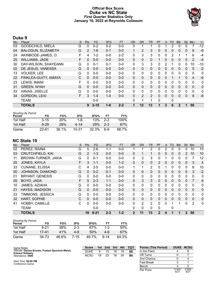# **Official Box Score Duke vs NC State First Quarter Statistics Only January 16, 2022 at Reynolds Coliseum**



# **Duke 9**

| No. | Plaver                    | S | Pts      | <b>FG</b> | 3FG     | <b>FT</b> | <b>OR</b>    | <b>DR</b>    | <b>TR</b> | PF | A            | <b>TO</b>    | <b>Blk</b> | Stl          | Min            | $+/-$    |
|-----|---------------------------|---|----------|-----------|---------|-----------|--------------|--------------|-----------|----|--------------|--------------|------------|--------------|----------------|----------|
| 03  | <b>GOODCHILD, MIELA</b>   | G | 0        | $0 - 2$   | $0 - 2$ | $0 - 0$   | 0            |              | 1         | 0  |              | 2            | 0          | 0            |                | $-12$    |
| 04  | <b>BALOGUN, ELIZABETH</b> | G | 2        | $1 - 6$   | $0 - 1$ | $0 - 0$   |              | 2            | 3         | 0  | $\mathbf{0}$ | $\mathbf{0}$ | 0          | $\mathbf{0}$ | 8              | $-6$     |
| 24  | AKINBODE-JAMES, O.        | F | 4        | 1-2       | $0 - 0$ | $2 - 2$   | 0            | 3            | 3         | 0  | 0            | 2            |            |              | 6              | -4       |
| 25  | <b>WILLIAMS, JADE</b>     | F | 0        | $0 - 0$   | $0 - 0$ | $0 - 0$   | $\mathbf{0}$ | $\mathbf{0}$ | 0         |    | 0            | $\Omega$     | 0          | 0            | 2              | $-4$     |
| 30  | DAY-WILSON, SHAYEANN      | G | 0        | $0 - 1$   | $0 - 1$ | $0 - 0$   | 0            | 3            | 3         | 0  | 2            |              | 0          | 0            | 10             | $-10$    |
| 02  | DE JESUS, VANESSA         | G | $\Omega$ | $0 - 0$   | $0 - 0$ | $0 - 0$   | $\mathbf{0}$ | $\mathbf{0}$ | 0         | 0  | $\mathbf{0}$ | $\mathbf{0}$ | 0          | $\mathbf{0}$ | 5              | $-2$     |
| 13  | <b>VOLKER, LEE</b>        | G | 0        | $0 - 0$   | $0 - 0$ | $0 - 0$   | $\Omega$     | 0            | 0         | 0  | 0            | 0            | 0          | 0            | 0              | 0        |
| 22  | FINKLEA-GUITY, AMAYA      | С | $\Omega$ | $0 - 0$   | $0 - 0$ | $0 - 0$   | $\mathbf{0}$ | $\mathbf{0}$ | 0         | 0  | $\mathbf{0}$ |              |            | $\mathbf{0}$ | $\overline{4}$ | $-6$     |
| 23  | LEWIS, IMANI              | F | 0        | $0 - 0$   | $0 - 0$ | $0 - 0$   | $\Omega$     | 0            | 0         | 0  | 0            | 0            | 0          | 0            | $\Omega$       | 0        |
| 31  | <b>GREEN, NYAH</b>        | G | $\Omega$ | $0 - 0$   | $0 - 0$ | $0 - 0$   | $\mathbf{0}$ | $\Omega$     | 0         | 0  | $\mathbf{0}$ | $\Omega$     | 0          | $\Omega$     | $\mathbf{0}$   | $\Omega$ |
| 33  | HAVAS, JISELLE            | G | 0        | $0 - 0$   | $0 - 0$ | $0 - 0$   | 0            | 0            | 0         | 0  | 0            | 0            | 0          | $\Omega$     | 0              | 0        |
| 34  | <b>GORDON, LEXI</b>       | F | 3        | $1 - 4$   | $1 - 4$ | $0 - 0$   | $\Omega$     | 2            | 2         | 0  | $\mathbf{0}$ | $\Omega$     | $\Omega$   | $\Omega$     | 8              | $-6$     |
|     | <b>TEAM</b>               |   |          | $0 - 0$   |         |           | 0            | и            | 1         | 0  |              | 0            |            |              |                |          |
|     | <b>TOTALS</b>             |   | 9        | $3 - 15$  | $1 - 8$ | $2 - 2$   | 1            | 12           | 13        | 1  | 3            | 6            | 2          | 1            | 50             |          |

| <b>Shooting By Period</b><br>Period | FG       | FG%        | 3FG   | 3FG%  | FТ    | FT%   |
|-------------------------------------|----------|------------|-------|-------|-------|-------|
| 1st Half                            | $3 - 15$ | <b>20%</b> | 1-8   | 13%   | $2-2$ | 100%  |
| 1st Half                            | $8-29$   | 28%        | 4-14  | 29%   | $2-3$ | 67%   |
| Game                                | 22-61    | 36.1%      | 10-31 | 32.3% | 6-9   | 66.7% |

# **NC State 19**

| No. | Plaver                  | S | Pts      | <b>FG</b> | 3FG     | <b>FT</b> | <b>OR</b>    | <b>DR</b>      | <b>TR</b>      | PF             | A | TO       | <b>Blk</b> | Stl                   | Min            | $+/-$          |
|-----|-------------------------|---|----------|-----------|---------|-----------|--------------|----------------|----------------|----------------|---|----------|------------|-----------------------|----------------|----------------|
| 02  | PEREZ, RAINA            | G | 5        | $2-6$     | $1 - 1$ | $0-0$     |              | 1              | $\overline{2}$ | 0              | 2 | 0        | 0          | 0                     | 10             | 10             |
| 03  | <b>CRUTCHFIELD, KAI</b> | G | 2        | $1 - 3$   | $0 - 0$ | $0 - 0$   | 0            | 1              | 1.             | 0              | 0 | 0        | 0          | $\mathbf{2}^{\prime}$ | 10             | 10             |
| 11  | BROWN-TURNER, JAKIA     | G | $\Omega$ | $0 - 1$   | $0 - 0$ | $0-0$     | 0            | 3              | 3              | 0              |   | 0        | 0          | 0                     |                | 12             |
| 25  | JONES, KAYLA            | F | 3        | $1 - 1$   | $0 - 0$ | $1 - 2$   | $\Omega$     | 0              | $\Omega$       | $\overline{2}$ | 0 | 0        | $\Omega$   | 0                     | 3              | $\overline{4}$ |
| 33  | <b>CUNANE, ELISSA</b>   | С | 4        | $2 - 5$   | $0 - 0$ | $0 - 0$   | 1            | 1              | $\overline{2}$ | 0              |   | 0        | 0          | 0                     | 8              | 10             |
| 00  | JOHNSON, DIAMOND        | G | $\Omega$ | $0 - 2$   | $0 - 1$ | $0 - 0$   | 0            | 0              | $\Omega$       | 0              | 0 | $\Omega$ | 0          | 0                     | 3              | $-2$           |
| 01  | <b>BRYANT, GENESIS</b>  | G | $\Omega$ | $0 - 0$   | $0 - 0$ | $0-0$     | 0            | 0              | 0              | $\Omega$       | 0 | 0        | 0          | 0                     | $\mathbf{0}$   | 0              |
| 05  | BOYD, JADA              | F | 5        | $2 - 3$   | $1 - 1$ | $0 - 0$   | $\Omega$     | 3              | 3              | $\Omega$       | 0 | $\Omega$ | $\Omega$   | 0                     | $\overline{7}$ | 6              |
| 10  | JAMES, AZIAHA           | G | $\Omega$ | $0 - 0$   | $0 - 0$ | $0 - 0$   | 0            | 0              | 0              | 0              | 0 | 0        | 0          | 0                     | 0              | 0              |
| 21  | <b>HAYES, MADISON</b>   | G | $\Omega$ | $0 - 0$   | $0 - 0$ | $0-0$     | $\Omega$     | $\Omega$       | $\Omega$       | $\Omega$       | 0 | $\Omega$ | $\Omega$   | $\Omega$              | $\Omega$       | $\mathbf 0$    |
| 23  | TIMMONS, JESSICA        | G | $\Omega$ | $0 - 0$   | $0 - 0$ | $0-0$     | $\mathbf{0}$ | 0              | 0              | 0              | 0 | $\Omega$ | 0          | 0                     | $\mathbf{0}$   | 0              |
| 32  | <b>HART, SOPHIE</b>     | С | $\Omega$ | $0 - 0$   | $0 - 0$ | $0 - 0$   | $\mathbf{0}$ | 0              | $\Omega$       | $\Omega$       | 0 | 0        | 0          | 0                     | $\Omega$       | 0              |
| 41  | <b>HOBBY, CAMILLE</b>   | C | $\Omega$ | $0 - 0$   | $0 - 0$ | $0-0$     | 0            | $\overline{2}$ | 2              | $\Omega$       | 0 |          |            | 0                     | 2              | $\mathbf{0}$   |
|     | <b>TEAM</b>             |   |          | $0 - 0$   |         |           | 0            | 0              | 0              | 0              |   | 0        |            |                       |                |                |
|     | <b>TOTALS</b>           |   | 19       | $8 - 21$  | $2 - 3$ | $1 - 2$   | $\mathbf{2}$ | 11             | 13             | 2              | 4 |          |            | $\mathbf 2$           | 50             |                |

| <b>Shooting By Period</b><br>Period | FG    | FG%   | 3FG   | 3FG%  | FТ       | FT%   |
|-------------------------------------|-------|-------|-------|-------|----------|-------|
| 1st Half                            | 8-21  | 38%   | $2-3$ | 67%   | $1 - 2$  | 50%   |
| 1st Half                            | 17-41 | 41%   | 4-8   | 50%   | 4-6      | 67%   |
| Game                                | 34-73 | 46.6% | 7-15  | 46.7% | $9 - 14$ | 64.3% |

| Game Notes:                                                                 | <b>Score</b> | 1st | 2nd | 3rd | 4th | <b>TOT</b> | <b>Points (This Period)</b> |        | <b>DUKE NCSU</b> |
|-----------------------------------------------------------------------------|--------------|-----|-----|-----|-----|------------|-----------------------------|--------|------------------|
| Officials: Denise Brooks, Pualani Spurlock-Welsh,<br><b>Edward Sidlasky</b> | <b>DUKE</b>  |     |     | 19  | 19  | 60         | In the Paint                |        |                  |
| Attendance: 5500                                                            | <b>NCSU</b>  | 19  | 23  | 18  | 24  | -84        | Off Turns                   |        |                  |
|                                                                             |              |     |     |     |     |            | 2nd Chance                  |        |                  |
| Start Time: 09:00 PM<br>Conference Game;                                    |              |     |     |     |     |            | Fast Break                  |        |                  |
|                                                                             |              |     |     |     |     |            |                             | $\sim$ |                  |

| Bench    |               | 5             |
|----------|---------------|---------------|
| Per Poss | 0.429<br>4121 | 0.905<br>9/21 |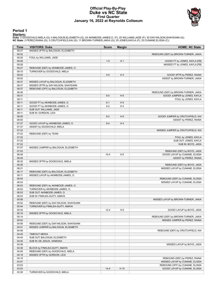### **Official Play-By-Play Duke vs NC State First Quarter January 16, 2022 at Reynolds Coliseum**



### **Period 1**

<mark>Starters:</mark><br>Duke: 3 GOODCHILD,MIELA (G); 4 BALOGUN,ELIZABETH (G); 24 AKINBODE-JAMES,O. (F); 25 WILLIAMS,JADE (F); 30 DAY-WILSON,SHAYEANN (G);<br>**NC State**: 2 PEREZ,RAINA (G); 3 CRUTCHFIELD,KAI (G); 11 BROWN-TURNER,JAKIA (G);

| Time           | <b>VISITORS: Duke</b>                 | <b>Score</b> | <b>Margin</b>  | <b>HOME: NC State</b>                                           |
|----------------|---------------------------------------|--------------|----------------|-----------------------------------------------------------------|
| 09:37          | MISSED 3PTR by BALOGUN, ELIZABETH     |              |                |                                                                 |
| 09:32          |                                       |              |                | REBOUND (DEF) by BROWN-TURNER, JAKIA                            |
| 09:29          | FOUL by WILLIAMS, JADE                |              |                |                                                                 |
| 09:29          |                                       | $1 - 0$      | H 1            | GOOD! FT by JONES, KAYLA [FB]                                   |
| 09:28          |                                       |              |                | MISSED FT by JONES, KAYLA [FB]                                  |
| 09:27          | REBOUND (DEF) by AKINBODE-JAMES, O.   |              |                |                                                                 |
| 09:15          | TURNOVER by GOODCHILD, MIELA          |              |                |                                                                 |
| 09:02          |                                       | $4 - 0$      | H4             | GOOD! 3PTR by PEREZ, RAINA                                      |
| 09:02          |                                       |              |                | ASSIST by BROWN-TURNER, JAKIA                                   |
| 08:37          | MISSED LAYUP by BALOGUN, ELIZABETH    |              |                |                                                                 |
| 08:37<br>08:37 | MISSED 3PTR by DAY-WILSON, SHAYEANN   |              |                |                                                                 |
| 08:36          | REBOUND (OFF) by BALOGUN, ELIZABETH   |              |                | REBOUND (DEF) by BROWN-TURNER, JAKIA                            |
| 08:31          |                                       | $6-0$        | H <sub>6</sub> | GOOD! JUMPER by JONES, KAYLA                                    |
| 08:11          |                                       |              |                | FOUL by JONES, KAYLA                                            |
| 08:11          | GOOD! FT by AKINBODE-JAMES, O.        | $6 - 1$      | H <sub>5</sub> |                                                                 |
| 08:11          | GOOD! FT by AKINBODE-JAMES, O.        | $6-2$        | H4             |                                                                 |
| 08:11          | SUB OUT: WILLIAMS, JADE               |              |                |                                                                 |
| 08:11          | SUB IN: GORDON, LEXI                  |              |                |                                                                 |
| 08:00          |                                       | $8-2$        | H <sub>6</sub> | GOOD! JUMPER by CRUTCHFIELD, KAI                                |
| 08:00          |                                       |              |                | ASSIST by PEREZ, RAINA                                          |
| 07:37          | GOOD! LAYUP by AKINBODE-JAMES, O.     | $8 - 4$      | H4             |                                                                 |
| 07:37          | ASSIST by GOODCHILD, MIELA            |              |                |                                                                 |
| 07:23          |                                       |              |                | MISSED JUMPER by CRUTCHFIELD, KAI                               |
| 07:22          | REBOUND (DEF) by TEAM                 |              |                |                                                                 |
| 07:22          |                                       |              |                | FOUL by JONES, KAYLA                                            |
| 07:22          |                                       |              |                | SUB OUT: JONES, KAYLA                                           |
| 07:22<br>07:07 |                                       |              |                | SUB IN: BOYD, JADA                                              |
| 07:03          | MISSED JUMPER by BALOGUN, ELIZABETH   |              |                | REBOUND (DEF) by BOYD, JADA                                     |
| 06:49          |                                       | $10 - 4$     | H <sub>6</sub> | GOOD! LAYUP by CUNANE, ELISSA                                   |
| 06:49          |                                       |              |                | ASSIST by PEREZ, RAINA                                          |
| 06:32          | MISSED 3PTR by GOODCHILD, MIELA       |              |                |                                                                 |
| 06:28          |                                       |              |                | REBOUND (DEF) by BOYD, JADA                                     |
| 06:21          |                                       |              |                | MISSED LAYUP by CUNANE, ELISSA                                  |
| 06:17          | REBOUND (DEF) by BALOGUN, ELIZABETH   |              |                |                                                                 |
| 06:11          | MISSED LAYUP by AKINBODE-JAMES, O.    |              |                |                                                                 |
| 06:05          |                                       |              |                | REBOUND (DEF) by CUNANE, ELISSA                                 |
| 06:03          |                                       |              |                | MISSED LAYUP by CUNANE, ELISSA                                  |
| 06:03          | REBOUND (DEF) by AKINBODE-JAMES, O.   |              |                |                                                                 |
| 06:03          | TURNOVER by AKINBODE-JAMES, O.        |              |                |                                                                 |
| 06:03          | SUB OUT: AKINBODE-JAMES, O.           |              |                |                                                                 |
| 06:03          | SUB IN: FINKLEA-GUITY, AMAYA          |              |                |                                                                 |
| 05:56          | REBOUND (DEF) by DAY-WILSON, SHAYEANN |              |                | MISSED LAYUP by BROWN-TURNER, JAKIA                             |
| 05:52<br>05:44 | TURNOVER by FINKLEA-GUITY, AMAYA      |              |                |                                                                 |
| 05:34          |                                       | $12 - 4$     | H 8            | GOOD! LAYUP by BOYD, JADA                                       |
| 05:19          | MISSED 3PTR by GOODCHILD, MIELA       |              |                |                                                                 |
| 05:14          |                                       |              |                | REBOUND (DEF) by BROWN-TURNER, JAKIA                            |
| 05:02          |                                       |              |                | MISSED JUMPER by PEREZ, RAINA                                   |
| 04:59          | REBOUND (DEF) by DAY-WILSON, SHAYEANN |              |                |                                                                 |
| 04:51          | MISSED JUMPER by BALOGUN, ELIZABETH   |              |                |                                                                 |
| 04:48          |                                       |              |                | REBOUND (DEF) by CRUTCHFIELD, KAI                               |
| 04:45          | <b>TIMEOUT MEDIA</b>                  |              |                |                                                                 |
| 04:45          | SUB OUT: BALOGUN, ELIZABETH           |              |                |                                                                 |
| 04:45          | SUB IN: DE JESUS, VANESSA             |              |                |                                                                 |
| 04:38          |                                       |              |                | MISSED LAYUP by BOYD, JADA                                      |
| 04:38          | BLOCK by FINKLEA-GUITY, AMAYA         |              |                |                                                                 |
| 04:29          | REBOUND (DEF) by GOODCHILD, MIELA     |              |                |                                                                 |
| 04:18          | MISSED 3PTR by GORDON, LEXI           |              |                |                                                                 |
| 04:15          |                                       |              |                | REBOUND (DEF) by PEREZ, RAINA<br>MISSED LAYUP by CUNANE, ELISSA |
| 03:57<br>03:53 |                                       |              |                | REBOUND (OFF) by CUNANE, ELISSA                                 |
| 03:53          |                                       | $14 - 4$     | H 10           | GOOD! LAYUP by CUNANE, ELISSA                                   |
| 03:39          | TURNOVER by GOODCHILD, MIELA          |              |                |                                                                 |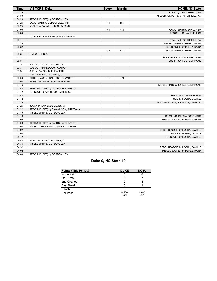| <b>Time</b> | <b>VISITORS: Duke</b>                 | <b>Score</b> | <b>Margin</b>  | <b>HOME: NC State</b>             |
|-------------|---------------------------------------|--------------|----------------|-----------------------------------|
| 03:39       |                                       |              |                | STEAL by CRUTCHFIELD, KAI         |
| 03:33       |                                       |              |                | MISSED JUMPER by CRUTCHFIELD, KAI |
| 03:28       | REBOUND (DEF) by GORDON, LEXI         |              |                |                                   |
| 03:25       | GOOD! 3PTR by GORDON, LEXI [FB]       | $14 - 7$     | H <sub>7</sub> |                                   |
| 03:25       | ASSIST by DAY-WILSON, SHAYEANN        |              |                |                                   |
| 03:00       |                                       | $17 - 7$     | H 10           | GOOD! 3PTR by BOYD, JADA          |
| 03:00       |                                       |              |                | ASSIST by CUNANE, ELISSA          |
| 02:41       | TURNOVER by DAY-WILSON, SHAYEANN      |              |                |                                   |
| 02:41       |                                       |              |                | STEAL by CRUTCHFIELD, KAI         |
| 02:36       |                                       |              |                | MISSED LAYUP by PEREZ, RAINA      |
| 02:32       |                                       |              |                | REBOUND (OFF) by PEREZ, RAINA     |
| 02:32       |                                       | $19 - 7$     | H 12           | GOOD! LAYUP by PEREZ, RAINA       |
| 02:31       | TIMEOUT 30SEC                         |              |                |                                   |
| 02:31       |                                       |              |                | SUB OUT: BROWN-TURNER, JAKIA      |
| 02:31       |                                       |              |                | SUB IN: JOHNSON, DIAMOND          |
| 02:31       | SUB OUT: GOODCHILD, MIELA             |              |                |                                   |
| 02:31       | SUB OUT: FINKLEA-GUITY, AMAYA         |              |                |                                   |
| 02:31       | SUB IN: BALOGUN, ELIZABETH            |              |                |                                   |
| 02:31       | SUB IN: AKINBODE-JAMES, O.            |              |                |                                   |
| 02:08       | GOOD! LAYUP by BALOGUN, ELIZABETH     | $19-9$       | H 10           |                                   |
| 02:08       | ASSIST by DAY-WILSON, SHAYEANN        |              |                |                                   |
| 01:46       |                                       |              |                | MISSED 3PTR by JOHNSON, DIAMOND   |
| 01:42       | REBOUND (DEF) by AKINBODE-JAMES, O.   |              |                |                                   |
| 01:42       | TURNOVER by AKINBODE-JAMES, O.        |              |                |                                   |
| 01:42       |                                       |              |                | SUB OUT: CUNANE, ELISSA           |
| 01:42       |                                       |              |                | SUB IN: HOBBY, CAMILLE            |
| 01:26       |                                       |              |                | MISSED LAYUP by JOHNSON, DIAMOND  |
| 01:26       | BLOCK by AKINBODE-JAMES, O.           |              |                |                                   |
| 01:22       | REBOUND (DEF) by DAY-WILSON, SHAYEANN |              |                |                                   |
| 01:19       | MISSED 3PTR by GORDON, LEXI           |              |                |                                   |
| 01:16       |                                       |              |                | REBOUND (DEF) by BOYD, JADA       |
| 01:09       |                                       |              |                | MISSED JUMPER by PEREZ, RAINA     |
| 01:06       | REBOUND (DEF) by BALOGUN, ELIZABETH   |              |                |                                   |
| 01:02       | MISSED LAYUP by BALOGUN, ELIZABETH    |              |                |                                   |
| 01:02       |                                       |              |                | REBOUND (DEF) by HOBBY, CAMILLE   |
| 01:02       |                                       |              |                | BLOCK by HOBBY, CAMILLE           |
| 00:42       |                                       |              |                | TURNOVER by HOBBY, CAMILLE        |
| 00:42       | STEAL by AKINBODE-JAMES, O.           |              |                |                                   |
| 00:35       | MISSED 3PTR by GORDON, LEXI           |              |                |                                   |
| 00:32       |                                       |              |                | REBOUND (DEF) by HOBBY, CAMILLE   |
| 00:02       |                                       |              |                | MISSED JUMPER by PEREZ, RAINA     |
| 00:00       | REBOUND (DEF) by GORDON, LEXI         |              |                |                                   |

# **Duke 9, NC State 19**

| <b>Points (This Period)</b> | <b>DUKE</b>   | <b>NCSU</b>   |
|-----------------------------|---------------|---------------|
| In the Paint                |               |               |
| Off Turns                   |               |               |
| 2nd Chance                  |               |               |
| <b>Fast Break</b>           | ว             |               |
| Bench                       | ว             |               |
| Per Poss                    | 0.429<br>4/21 | 0.905<br>9/21 |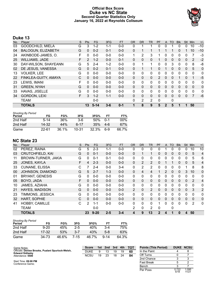# **Official Box Score Duke vs NC State Second Quarter Statistics Only January 16, 2022 at Reynolds Coliseum**



# **Duke 13**

| No. | Plaver                    | S  | Pts            | <b>FG</b> | 3FG     | <b>FT</b> | <b>OR</b>    | <b>DR</b> | <b>TR</b> | PF | A            | <b>TO</b> | <b>Blk</b> | Stl          | Min            | $+/-$          |
|-----|---------------------------|----|----------------|-----------|---------|-----------|--------------|-----------|-----------|----|--------------|-----------|------------|--------------|----------------|----------------|
| 03  | <b>GOODCHILD, MIELA</b>   | G  | 3              | $1 - 2$   | 1-1     | $0 - 0$   | 0            |           | 1         | 0  | 0            |           | 0          | 0            | 10             | $-10$          |
| 04  | <b>BALOGUN, ELIZABETH</b> | G  | 0              | $0 - 2$   | $0 - 1$ | $0 - 0$   | $\Omega$     |           |           |    |              |           | 0          |              | 10             | $-10$          |
| 24  | AKINBODE-JAMES, O.        | F  | 0              | $0 - 0$   | $0 - 0$ | $0 - 0$   | 1            | 2         | 3         |    | 0            | 0         | 0          | 0            |                | -3             |
| 25  | <b>WILLIAMS, JADE</b>     | F  | $\overline{2}$ | $1 - 2$   | $0 - 0$ | $0 - 1$   | $\mathbf{0}$ | $\Omega$  | 0         |    | $\mathbf{0}$ | $\Omega$  | 0          | $\mathbf{0}$ | 2              | $-2$           |
| 30  | DAY-WILSON, SHAYEANN      | G  | 5              | $2 - 4$   | $1 - 2$ | $0 - 0$   | 0            | 1         | 1         | 0  | 0            | 3         | 0          | $\Omega$     | 8              | -8             |
| 02  | DE JESUS, VANESSA         | G  | $\Omega$       | $0 - 2$   | $0 - 1$ | $0 - 0$   | $\mathbf{0}$ |           | 1         | 0  |              | $\Omega$  | $\Omega$   | $\Omega$     | 5              | $\overline{0}$ |
| 13  | <b>VOLKER, LEE</b>        | G  | 0              | $0 - 0$   | $0 - 0$ | $0 - 0$   | 0            | 0         | 0         | 0  | 0            | 0         | 0          | $\Omega$     | 0              | 0              |
| 22  | FINKLEA-GUITY, AMAYA      | C  | $\Omega$       | $0 - 0$   | $0 - 0$ | $0 - 0$   | $\Omega$     | $\Omega$  | 0         | 2  | $\Omega$     | $\Omega$  |            | $\Omega$     | 1              | $-5$           |
| 23  | LEWIS, IMANI              | F. | 0              | $0 - 0$   | $0 - 0$ | $0 - 0$   | 0            | 0         | 0         | 0  | $\Omega$     | $\Omega$  | 0          | 0            | $\Omega$       | 0              |
| 31  | <b>GREEN, NYAH</b>        | G  | $\Omega$       | $0 - 0$   | $0 - 0$ | $0 - 0$   | $\Omega$     | $\Omega$  | $\Omega$  | 0  | $\Omega$     | $\Omega$  | $\Omega$   | $\Omega$     | $\Omega$       | $\overline{0}$ |
| 33  | <b>HAVAS, JISELLE</b>     | G  | 0              | $0 - 0$   | $0 - 0$ | $0 - 0$   | $\Omega$     | 0         | 0         | 0  | 0            | $\Omega$  | 0          | $\Omega$     | 0              | 0              |
| 34  | <b>GORDON, LEXI</b>       | F  | 3              | $1 - 2$   | $1 - 1$ | $0 - 0$   | $\Omega$     | $\Omega$  | $\Omega$  | 0  | $\Omega$     | $\Omega$  | $\Omega$   | $\Omega$     | $\overline{7}$ | $-6$           |
|     | <b>TEAM</b>               |    |                | $0 - 0$   |         |           | $\Omega$     | 2         | 2         | 0  |              | 0         |            |              |                |                |
|     | <b>TOTALS</b>             |    | 13             | $5 - 14$  | $3 - 6$ | $0 - 1$   | 1            | 8         | 9         | 5  | $\mathbf{2}$ | 5         | 1          | ۹            | 50             |                |

| <b>Shooting By Period</b><br>Period | FG     | FG%   | 3FG   | 3FG%  | FТ      | FT%    |
|-------------------------------------|--------|-------|-------|-------|---------|--------|
| 2nd Half                            | $5-14$ | 36%   | $3-6$ | .50%  | $0 - 1$ | $00\%$ |
| 2nd Half                            | 14-32  | 44%   | հ-17  | 35%   | 4-6     | 67%    |
| Game                                | 22-61  | 36.1% | 10-31 | 32.3% | հ-9     | 66.7%  |

# **NC State 23**

| No. | Player                  | S | <b>Pts</b> | <b>FG</b> | 3FG     | <b>FT</b> | 0R            | <b>DR</b>    | TR             | PF          | A | TO       | <b>B</b> lk  | Stl      | Min            | $+/-$          |
|-----|-------------------------|---|------------|-----------|---------|-----------|---------------|--------------|----------------|-------------|---|----------|--------------|----------|----------------|----------------|
| 02  | PEREZ, RAINA            | G | 5          | $2 - 3$   | $1 - 1$ | $0-0$     | 0             | 0            | 0              | 0           |   | 0        | 0            | 0        | 10             | 10             |
| 03  | <b>CRUTCHFIELD, KAI</b> | G | $\Omega$   | $0 - 1$   | $0 - 0$ | $0-0$     | 0             | 1            | 1              | $\Omega$    | 0 | 0        | $\Omega$     | 0        | 5              | $\overline{4}$ |
| 11  | BROWN-TURNER, JAKIA     | G | $\Omega$   | $0 - 1$   | $0 - 1$ | $0-0$     | $\mathbf{0}$  | 0            | 0              | 0           | 0 | 0        | 0            | 0        | 5              | 6              |
| 25  | JONES, KAYLA            | F | 4          | $2 - 3$   | $0 - 0$ | $0-0$     | 0             | 2            | 2              | $\Omega$    |   |          | $\Omega$     | $\Omega$ | 5              | 4              |
| 33  | <b>CUNANE, ELISSA</b>   | С |            | $2 - 4$   | $0 - 0$ | $3 - 4$   | $\mathbf{0}$  | 2            | $\overline{2}$ | 0           | 0 | 0        | 0            |          | 8              | 8              |
| 00  | JOHNSON, DIAMOND        | G | 5          | $2 - 7$   | $1 - 3$ | $0 - 0$   | $\mathbf{0}$  | 4            | 4              |             | 2 | 0        | 0            | 3        | 10             | $\mathbf 0$    |
| 01  | <b>BRYANT, GENESIS</b>  | G | $\Omega$   | $0 - 0$   | $0 - 0$ | $0-0$     | $\mathbf{0}$  | 0            | 0              | 0           | 0 | 0        | 0            | 0        | $\mathbf{0}$   | 0              |
| 05  | BOYD, JADA              | F | $\Omega$   | $0 - 0$   | $0 - 0$ | $0 - 0$   | $\Omega$      | $\mathbf{0}$ | $\Omega$       | $\Omega$    | 0 | 0        | $\Omega$     | 0        | $\overline{2}$ | 4              |
| 10  | JAMES, AZIAHA           | G | $\Omega$   | $0 - 0$   | $0 - 0$ | $0-0$     | 0             | 0            | 0              | 0           | 0 | 0        | 0            | 0        | 0              | 0              |
| 21  | HAYES, MADISON          | G | $\Omega$   | $0 - 0$   | $0 - 0$ | $0 - 0$   | $\mathcal{P}$ | 0            | $\overline{2}$ | $\Omega$    | 0 | $\Omega$ | $\Omega$     | $\Omega$ | 3              | 2              |
| 23  | TIMMONS, JESSICA        | G | $\Omega$   | $0-0$     | $0 - 0$ | $0-0$     | $\mathbf{0}$  | 0            | 0              | 0           | 0 | 0        | 0            | 0        | $\mathbf{0}$   | 0              |
| 32  | <b>HART, SOPHIE</b>     | C | $\Omega$   | $0 - 0$   | $0 - 0$ | $0 - 0$   | $\mathbf{0}$  | 0            | $\mathbf{0}$   | $\Omega$    | 0 | 0        | $\Omega$     | 0        | $\Omega$       | 0              |
| 41  | HOBBY, CAMILLE          | C | 2          | $1 - 1$   | $0 - 0$ | $0 - 0$   | $\Omega$      | $\Omega$     | $\Omega$       | 1           | 0 | 0        | $\Omega$     | 0        | 2              | $\mathbf{0}$   |
|     | <b>TEAM</b>             |   |            | $0 - 0$   |         |           | 2             | 0            | 2              | 0           |   | 0        |              |          |                |                |
|     | <b>TOTALS</b>           |   | 23         | $9 - 20$  | $2 - 5$ | $3 - 4$   | 4             | 9            | 13             | $\mathbf 2$ | 4 |          | $\mathbf{0}$ | 4        | 50             |                |

| <b>Shooting By Period</b><br>Period | FG       | FG%   | 3FG     | 3FG%  | FТ       | FT%   |
|-------------------------------------|----------|-------|---------|-------|----------|-------|
| 2nd Half                            | $9 - 20$ | 45%   | $2-5$   | 40%   | 3-4      | 75%   |
| 2nd Half                            | 17-32    | 53%   | $3 - 7$ | 43%   | 5-8      | 63%   |
| Game                                | 34 73    | 46.6% | 7-15    | 46.7% | $9 - 14$ | 64.3% |

| Game Notes:                                                                 | <b>Score</b> | 1st | 2nd | 3rd | 4th | тот | <b>Points (This Period)</b> | <b>DUKE NCSU</b> |  |
|-----------------------------------------------------------------------------|--------------|-----|-----|-----|-----|-----|-----------------------------|------------------|--|
| Officials: Denise Brooks, Pualani Spurlock-Welsh,<br><b>Edward Sidlasky</b> | <b>DUKE</b>  |     |     | 19  | 19  | -60 | In the Paint                |                  |  |
| Attendance: 5500                                                            | <b>NCSU</b>  | 19  | 23  | 18  | 24  | 84  | Off Turns                   |                  |  |
|                                                                             |              |     |     |     |     |     | 2nd Chance                  |                  |  |
| Start Time: 09:00 PM<br>Conference Game:                                    |              |     |     |     |     |     | <b>Fast Break</b>           |                  |  |
|                                                                             |              |     |     |     |     |     | <b>Danah</b>                |                  |  |

| .        | -             |                |
|----------|---------------|----------------|
| Bench    |               |                |
| Per Poss | 0.722<br>5/18 | 1.095<br>11/21 |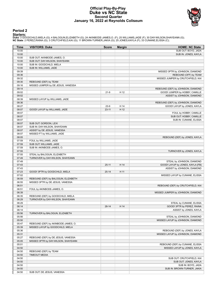### **Official Play-By-Play Duke vs NC State Second Quarter January 16, 2022 at Reynolds Coliseum**



# **Period 2**

<mark>Starters:</mark><br>Duke: 3 GOODCHILD,MIELA (G); 4 BALOGUN,ELIZABETH (G); 24 AKINBODE-JAMES,O. (F); 25 WILLIAMS,JADE (F); 30 DAY-WILSON,SHAYEANN (G);<br>**NC State**: 2 PEREZ,RAINA (G); 3 CRUTCHFIELD,KAI (G); 11 BROWN-TURNER,JAKIA (G);

| <b>Time</b> | <b>VISITORS: Duke</b>               | <b>Score</b> | <b>Margin</b> | <b>HOME: NC State</b>             |
|-------------|-------------------------------------|--------------|---------------|-----------------------------------|
| 10:00       |                                     |              |               | SUB OUT: BOYD, JADA               |
| 10:00       |                                     |              |               | SUB IN: JONES, KAYLA              |
| 10:00       | SUB OUT: AKINBODE-JAMES, O.         |              |               |                                   |
| 10:00       | SUB OUT: DAY-WILSON, SHAYEANN       |              |               |                                   |
| 10:00       | SUB IN: GOODCHILD, MIELA            |              |               |                                   |
| 10:00       | SUB IN: WILLIAMS, JADE              |              |               |                                   |
| 09:39       |                                     |              |               | MISSED 3PTR by JOHNSON, DIAMOND   |
| 09:36       |                                     |              |               | REBOUND (OFF) by TEAM             |
| 09:32       |                                     |              |               | MISSED JUMPER by CRUTCHFIELD, KAI |
| 09:30       | REBOUND (DEF) by TEAM               |              |               |                                   |
| 09:16       | MISSED JUMPER by DE JESUS, VANESSA  |              |               |                                   |
| 09:14       |                                     |              |               | REBOUND (DEF) by JOHNSON, DIAMOND |
| 09:02       |                                     | $21-9$       | H 12          | GOOD! JUMPER by HOBBY, CAMILLE    |
| 09:02       |                                     |              |               | ASSIST by JOHNSON, DIAMOND        |
| 08:39       | MISSED LAYUP by WILLIAMS, JADE      |              |               |                                   |
| 08:36       |                                     |              |               | REBOUND (DEF) by JOHNSON, DIAMOND |
| 08:27       |                                     | $23-9$       | H 14          | GOOD! LAYUP by JONES, KAYLA       |
| 08:07       | GOOD! LAYUP by WILLIAMS, JADE       | $23 - 11$    | H 12          |                                   |
| 08:07       |                                     |              |               | FOUL by HOBBY, CAMILLE            |
| 08:07       |                                     |              |               | SUB OUT: HOBBY, CAMILLE           |
| 08:07       |                                     |              |               | SUB IN: CUNANE, ELISSA            |
| 08:07       | SUB OUT: GORDON, LEXI               |              |               |                                   |
| 08:07       | SUB IN: DAY-WILSON, SHAYEANN        |              |               |                                   |
| 08:07       | ASSIST by DE JESUS, VANESSA         |              |               |                                   |
| 08:07       | MISSED FT by WILLIAMS, JADE         |              |               |                                   |
| 08:05       |                                     |              |               | REBOUND (DEF) by JONES, KAYLA     |
| 07:59       | FOUL by WILLIAMS, JADE              |              |               |                                   |
| 07:59       | SUB OUT: WILLIAMS, JADE             |              |               |                                   |
| 07:59       | SUB IN: AKINBODE-JAMES, O.          |              |               |                                   |
| 07:55       |                                     |              |               | TURNOVER by JONES, KAYLA          |
| 07:55       | STEAL by BALOGUN, ELIZABETH         |              |               |                                   |
| 07:49       | TURNOVER by DAY-WILSON, SHAYEANN    |              |               |                                   |
| 07:49       |                                     |              |               | STEAL by JOHNSON, DIAMOND         |
| 07:43       |                                     | $25 - 11$    | H 14          | GOOD! LAYUP by JONES, KAYLA [FB]  |
| 07:43       |                                     |              |               | ASSIST by JOHNSON, DIAMOND        |
| 07:23       | GOOD! 3PTR by GOODCHILD, MIELA      | $25 - 14$    | H 11          |                                   |
| 07:02       |                                     |              |               | MISSED LAYUP by CUNANE, ELISSA    |
| 06:59       | REBOUND (DEF) by BALOGUN, ELIZABETH |              |               |                                   |
| 06:55       | MISSED 3PTR by DE JESUS, VANESSA    |              |               |                                   |
| 06:51       |                                     |              |               | REBOUND (DEF) by CRUTCHFIELD, KAI |
| 06:51       | FOUL by AKINBODE-JAMES, O.          |              |               |                                   |
| 06:39       |                                     |              |               | MISSED JUMPER by JOHNSON, DIAMOND |
| 06:35       | REBOUND (DEF) by GOODCHILD, MIELA   |              |               |                                   |
| 06:29       | TURNOVER by DAY-WILSON, SHAYEANN    |              |               |                                   |
| 06:29       |                                     |              |               | STEAL by CUNANE, ELISSA           |
| 06:14       |                                     | $28 - 14$    | H 14          | GOOD! 3PTR by PEREZ, RAINA        |
| 06:14       |                                     |              |               | ASSIST by JONES, KAYLA            |
| 05:56       | TURNOVER by BALOGUN, ELIZABETH      |              |               |                                   |
| 05:56       |                                     |              |               | STEAL by JOHNSON, DIAMOND         |
| 05:50       |                                     |              |               | MISSED LAYUP by JOHNSON, DIAMOND  |
| 05:47       | REBOUND (DEF) by AKINBODE-JAMES, O. |              |               |                                   |
| 05:39       | MISSED LAYUP by GOODCHILD, MIELA    |              |               |                                   |
| 05:36       |                                     |              |               | REBOUND (DEF) by JONES, KAYLA     |
| 05:31       |                                     |              |               | MISSED LAYUP by JOHNSON, DIAMOND  |
| 05:27       | REBOUND (DEF) by DE JESUS, VANESSA  |              |               |                                   |
| 05:05       | MISSED 3PTR by DAY-WILSON, SHAYEANN |              |               |                                   |
| 05:01       |                                     |              |               | REBOUND (DEF) by CUNANE, ELISSA   |
| 04:50       |                                     |              |               | MISSED LAYUP by JONES, KAYLA      |
| 04:50       | REBOUND (DEF) by TEAM               |              |               |                                   |
| 04:50       | <b>TIMEOUT MEDIA</b>                |              |               |                                   |
| 04:50       |                                     |              |               |                                   |
|             |                                     |              |               | SUB OUT: CRUTCHFIELD, KAI         |
| 04:50       |                                     |              |               | SUB OUT: JONES, KAYLA             |
| 04:50       |                                     |              |               | SUB IN: BOYD, JADA                |
| 04:50       |                                     |              |               | SUB IN: BROWN-TURNER, JAKIA       |
| 04:50       | SUB OUT: DE JESUS, VANESSA          |              |               |                                   |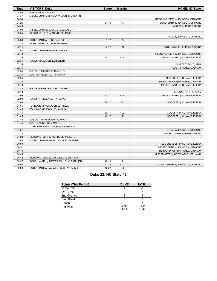| <b>Time</b>    | <b>VISITORS: Duke</b>                                          | <b>Score</b> | <b>Margin</b> | <b>HOME: NC State</b>              |
|----------------|----------------------------------------------------------------|--------------|---------------|------------------------------------|
| 04:50          | SUB IN: GORDON, LEXI                                           |              |               |                                    |
| 04:37          | MISSED JUMPER by DAY-WILSON, SHAYEANN                          |              |               |                                    |
| 04:34          |                                                                |              |               | REBOUND (DEF) by JOHNSON, DIAMOND  |
| 04:26          |                                                                | $31 - 14$    | H 17          | GOOD! 3PTR by JOHNSON, DIAMOND     |
| 04:26          |                                                                |              |               | ASSIST by PEREZ, RAINA             |
| 04:00          | MISSED 3PTR by BALOGUN, ELIZABETH                              |              |               |                                    |
| 03:55          | REBOUND (OFF) by AKINBODE-JAMES, O.                            |              |               |                                    |
| 03:44          |                                                                |              |               | FOUL by JOHNSON, DIAMOND           |
| 03:38          | GOOD! 3PTR by GORDON, LEXI                                     | $31 - 17$    | H 14          |                                    |
| 03:38          | ASSIST by BALOGUN, ELIZABETH                                   |              |               |                                    |
| 03:14          |                                                                | $33 - 17$    | H 16          | GOOD! JUMPER by PEREZ, RAINA       |
| 02:51          | MISSED JUMPER by GORDON, LEXI                                  |              |               |                                    |
| 02:48          |                                                                |              |               | REBOUND (DEF) by JOHNSON, DIAMOND  |
| 02:35          |                                                                | $35-17$      | H 18          | GOOD! LAYUP by CUNANE, ELISSA      |
| 02:35          | FOUL by BALOGUN, ELIZABETH                                     |              |               |                                    |
| 02:35          |                                                                |              |               | SUB OUT: BOYD, JADA                |
| 02:35          |                                                                |              |               | SUB IN: HAYES, MADISON             |
| 02:35          | SUB OUT: AKINBODE-JAMES, O.                                    |              |               |                                    |
| 02:35          | SUB IN: FINKLEA-GUITY, AMAYA                                   |              |               |                                    |
| 02:35          |                                                                |              |               | MISSED FT by CUNANE, ELISSA        |
| 02:32          |                                                                |              |               | REBOUND (OFF) by HAYES, MADISON    |
| 02:18          |                                                                |              |               | MISSED LAYUP by CUNANE, ELISSA     |
| 02:18          | BLOCK by FINKLEA-GUITY, AMAYA                                  |              |               |                                    |
| 02:18          |                                                                |              |               | REBOUND (OFF) by TEAM              |
| 02:09          |                                                                | $37-17$      | H 20          | GOOD! LAYUP by CUNANE, ELISSA      |
| 02:09          | FOUL by FINKLEA-GUITY, AMAYA                                   |              |               |                                    |
| 02:09          |                                                                | $38-17$      | H 21          | GOOD! FT by CUNANE, ELISSA         |
| 01:55          | TURNOVER by GOODCHILD, MIELA                                   |              |               |                                    |
| 01:45          | FOUL by FINKLEA-GUITY, AMAYA                                   |              |               |                                    |
| 01:45          |                                                                | 39-17        | H 22<br>H 23  | GOOD! FT by CUNANE, ELISSA         |
| 01:45<br>01:45 |                                                                | $40 - 17$    |               | GOOD! FT by CUNANE, ELISSA         |
| 01:45          | SUB OUT: FINKLEA-GUITY, AMAYA                                  |              |               |                                    |
| 01:31          | SUB IN: AKINBODE-JAMES, O.<br>TURNOVER by DAY-WILSON, SHAYEANN |              |               |                                    |
| 01:31          |                                                                |              |               | STEAL by JOHNSON, DIAMOND          |
| 01:23          |                                                                |              |               | MISSED LAYUP by PEREZ, RAINA       |
| 01:20          | REBOUND (DEF) by AKINBODE-JAMES, O.                            |              |               |                                    |
| 01:03          | MISSED JUMPER by BALOGUN, ELIZABETH                            |              |               |                                    |
| 00:59          |                                                                |              |               | REBOUND (DEF) by CUNANE, ELISSA    |
| 00:51          |                                                                |              |               | MISSED 3PTR by JOHNSON, DIAMOND    |
| 00:48          |                                                                |              |               | REBOUND (OFF) by HAYES, MADISON    |
| 00:45          |                                                                |              |               | MISSED 3PTR by BROWN-TURNER, JAKIA |
| 00:42          | REBOUND (DEF) by DAY-WILSON, SHAYEANN                          |              |               |                                    |
| 00:37          | GOOD! LAYUP by DAY-WILSON, SHAYEANN [FB]                       | 40-19        | H 21          |                                    |
| 00:04          |                                                                | 42-19        | H 23          | GOOD! JUMPER by JOHNSON, DIAMOND   |
| 00:00          |                                                                | 42-22        | H 20          |                                    |
|                | GOOD! 3PTR by DAY-WILSON, SHAYEANN [FB]                        |              |               |                                    |

# **Duke 22, NC State 42**

| <b>Points (This Period)</b> | <b>DUKE</b>   | <b>NCSU</b>    |
|-----------------------------|---------------|----------------|
| In the Paint                |               |                |
| Off Turns                   |               |                |
| 2nd Chance                  |               |                |
| <b>Fast Break</b>           |               |                |
| Bench                       |               |                |
| Per Poss                    | 0.722<br>5/18 | 1.095<br>11/21 |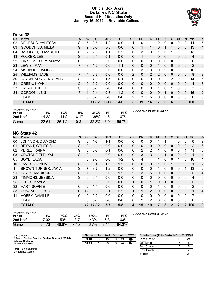# **Official Box Score Duke vs NC State Second Half Statistics Only January 16, 2022 at Reynolds Coliseum**



# **Duke 38**

| No. | Player                    | S  | <b>Pts</b> | <b>FG</b> | 3FG      | <b>FT</b> | <b>OR</b>      | <b>DR</b> | TR             | <b>PF</b>      | A            | <b>TO</b> | <b>Blk</b>   | Stl          | Min            | $+/-$    |
|-----|---------------------------|----|------------|-----------|----------|-----------|----------------|-----------|----------------|----------------|--------------|-----------|--------------|--------------|----------------|----------|
| 02  | DE JESUS, VANESSA         | G  | 5          | $2 - 5$   | $1 - 2$  | $0 - 0$   |                | 0         |                | $\overline{2}$ | $\mathbf{0}$ | 0         | $\Omega$     | $\mathbf{0}$ | 14             | $-5$     |
| 03  | <b>GOODCHILD, MIELA</b>   | G  | 9          | $3 - 5$   | $3 - 5$  | $0 - 0$   | 0              | 1         |                | 0              |              |           | $\mathbf{0}$ | 0            | 13             | $-4$     |
| 04  | <b>BALOGUN, ELIZABETH</b> | G  | 7          | $2 - 3$   | $1 - 1$  | $2 - 2$   | 0              | 3         | 3              | 1              | $\Omega$     |           | 0            | 0            | 13             | $-3$     |
| 13  | <b>VOLKER, LEE</b>        | G  | $\Omega$   | $0 - 1$   | $0 - 1$  | $0 - 0$   | $\Omega$       | 1         |                | 0              | 0            |           | $\mathbf{0}$ | $\Omega$     | 4              | $-6$     |
| 22  | FINKLEA-GUITY, AMAYA      | C  | $\Omega$   | $0 - 0$   | $0 - 0$  | $0 - 0$   | 0              | 0         | $\mathbf{0}$   | 0              | $\mathbf{0}$ | $\Omega$  | $\Omega$     | $\Omega$     | 0              | 0        |
| 23  | LEWIS, IMANI              | F  | 3          | $1 - 2$   | $0 - 0$  | $1 - 1$   | $\mathbf{0}$   | 0         | $\mathbf{0}$   |                | 0            | $\Omega$  | 0            | 0            | 2              | $-6$     |
| 24  | AKINBODE-JAMES, O.        | F. | 0          | $0 - 0$   | $0 - 0$  | $0 - 0$   | 0              | 3         | 3              | 0              | 2            | $\Omega$  | $\Omega$     | $\Omega$     | 10             | -6       |
| 25  | <b>WILLIAMS, JADE</b>     | F  | 4          | $2 - 3$   | $0 - 0$  | $0 - 0$   | $\overline{2}$ | $\Omega$  | $\overline{2}$ | $\mathcal{P}$  | $\Omega$     | $\Omega$  | $\Omega$     | $\mathbf{0}$ | 8              | 8        |
| 30  | DAY-WILSON, SHAYEANN      | G  | 9          | $4 - 9$   | $1 - 5$  | $0 - 1$   | 0              | 0         | $\Omega$       | 0              | 2            | 2         | $\Omega$     | $\Omega$     | 14             | 6        |
| 31  | <b>GREEN, NYAH</b>        | G  | $\Omega$   | $0 - 0$   | $0 - 0$  | $0 - 0$   | $\Omega$       | $\Omega$  | $\Omega$       | 0              | $\Omega$     | $\Omega$  | $\Omega$     | $\Omega$     | $\overline{4}$ | $-6$     |
| 33  | <b>HAVAS, JISELLE</b>     | G  | 0          | $0 - 0$   | $0 - 0$  | $0 - 0$   | $\Omega$       | $\Omega$  | $\Omega$       |                | 0            |           | 0            | $\Omega$     | 3              | -6       |
| 34  | <b>GORDON, LEXI</b>       | F. |            | $0 - 4$   | $0 - 3$  | $1 - 2$   | 0              | $\Omega$  | 0              | $\Omega$       |              | $\Omega$  | $\Omega$     | 0            | 15             | $-2$     |
|     | <b>TEAM</b>               |    | 0          | $0 - 0$   | $0 - 0$  | $0 - 0$   | 2              | 3         | 5              | 0              | 0            | 0         | $\Omega$     | $\Omega$     | $\Omega$       | 0        |
|     | <b>TOTALS</b>             |    |            | 38 14-32  | $6 - 17$ | $4 - 6$   | 5              | 11        | 16             |                | 6            | 6         | 0            | 0            | 100            | $\bf{0}$ |

| <b>Shooting By Period</b><br>Period | FG        | FG%   | 3FG       | 3FG%     | <b>FT</b> | FT%   | Last FG Half: DUKE 4th-01:35 |
|-------------------------------------|-----------|-------|-----------|----------|-----------|-------|------------------------------|
| 2nd Half                            | 14-32     | 44%   | հ-17      | 35%      | 4-6       | 67%   |                              |
| Game                                | $22 - 61$ | 36.1% | $10 - 31$ | $32.3\%$ | 6-9       | 66.7% |                              |

# **NC State 42**

| No. | Player                  | S | <b>Pts</b>        | FG       | 3FG     | <b>FT</b> | <b>OR</b>      | <b>DR</b> | <b>TR</b>    | PF       | A        | <b>TO</b>    | <b>Blk</b>   | Stl            | Min | $+/-$          |
|-----|-------------------------|---|-------------------|----------|---------|-----------|----------------|-----------|--------------|----------|----------|--------------|--------------|----------------|-----|----------------|
| 00  | JOHNSON, DIAMOND        | G | 3                 | $1 - 2$  | 1-1     | $0-0$     | 0              | 0         | 0            |          |          |              | 0            | 0              | 8   | 2              |
| 01  | <b>BRYANT, GENESIS</b>  | G | $\mathcal{P}$     | $1 - 1$  | $0 - 0$ | $0 - 0$   | $\Omega$       | 0         | $\mathbf{0}$ | 0        | 0        | 0            | 0            | 0              | 2   | 6              |
| 02  | PEREZ, RAINA            | G | $\Omega$          | $0 - 2$  | $0 - 1$ | $0 - 0$   | $\mathbf{0}$   | 2         | 2            |          | 0        | 0            | 0            |                | 11  | -6             |
| 03  | <b>CRUTCHFIELD, KAI</b> | G | $\mathcal{P}$     | $1 - 1$  | $0 - 0$ | $0 - 0$   | 0              | 3         | 3            |          | 1        | 0            | $\Omega$     | 0              | 11  | 1              |
| 05  | BOYD, JADA              | F | 5                 | $2 - 3$  | $0 - 0$ | $1 - 2$   | $\mathbf{0}$   | 4         | 4            |          | 0        | 0            |              | $\Omega$       | 10  | 4              |
| 10  | JAMES, AZIAHA           | G | 8                 | $3 - 4$  | $1 - 2$ | $1 - 2$   | 0              | 0         | $\mathbf{0}$ |          | $\Omega$ |              |              | 0              | 11  | 7              |
| 11  | BROWN-TURNER, JAKIA     | G |                   | $3 - 7$  | $1 - 2$ | $0 - 0$   | $\mathbf{0}$   | 0         | $\mathbf{0}$ |          | 0        | 0            | 0            |                | 13  | $-2$           |
| 21  | <b>HAYES, MADISON</b>   | G |                   | $0 - 0$  | $0 - 0$ | $1 - 2$   | $\overline{2}$ | 3         | 5            | 0        | $\Omega$ | 0            | $\mathbf{0}$ | 0              | 5   | 4              |
| 23  | TIMMONS, JESSICA        | G | $\Omega$          | $0 - 1$  | $0 - 0$ | $0 - 0$   | 0              | 0         | $\mathbf{0}$ | 0        | 0        | 0            | 0            | 0              | 4   | 6              |
| 25  | <b>JONES, KAYLA</b>     | F | $\Omega$          | $0 - 0$  | $0 - 0$ | $0 - 0$   | 1              | $\Omega$  | 1            | $\Omega$ | 1        | 0            | $\Omega$     | $\Omega$       | 5   | $\overline{0}$ |
| 32  | HART, SOPHIE            | С | $\mathcal{P}$     | $1 - 1$  | $0 - 0$ | $0 - 0$   | 0              | 0         | $\mathbf{0}$ |          | 0        | 0            | 0            | $\Omega$       | 2   | 6              |
| 33  | <b>CUNANE, ELISSA</b>   | C | $12 \overline{ }$ | $5-8$    | $0 - 1$ | $2 - 2$   | 1              | 1         | 2            | $\Omega$ | $\Omega$ | 0            | $\mathbf{0}$ | 0              | 11  | 4              |
| 41  | HOBBY, CAMILLE          | C | $\Omega$          | $0 - 2$  | $0 - 0$ | $0 - 0$   | 0              | 0         | $\Omega$     | 0        | $\Omega$ | 0            | $\Omega$     | 0              | 7   | $-4$           |
|     | <b>TEAM</b>             |   | 0                 | $0 - 0$  | $0 - 0$ | $0 - 0$   | 0              | 2         | 2            | 0        | 0        | 0            | 0            | 0              | 0   | 0              |
|     | <b>TOTALS</b>           |   |                   | 42 17-32 | $3 - 7$ | $5 - 8$   | 4              | 15        | 19           |          | 3        | $\mathbf{2}$ | $\mathbf 2$  | $\overline{2}$ | 100 | $\mathbf 0$    |

| <b>Shooting By Period</b><br>Period | FG    | FG%   | 3FG      | 3FG%  | FT       | FT%   |
|-------------------------------------|-------|-------|----------|-------|----------|-------|
| 2nd Half                            | 17-32 | 53%   | 3-7      | 43%   | $5-8$    | 63%   |
| Game                                | 34 73 | 46.6% | $7 - 15$ | 46.7% | $9 - 14$ | 64.3% |

*Last FG Half:* NCSU 4th-00:40

| Game Notes:                                                                 | <b>Score</b> |    | 1st 2nd | 3rd | 4th | <b>TOT</b> | <b>Points from (This Period) DUKE NCSU</b> |    |    |  |  |  |  |  |
|-----------------------------------------------------------------------------|--------------|----|---------|-----|-----|------------|--------------------------------------------|----|----|--|--|--|--|--|
| Officials: Denise Brooks, Pualani Spurlock-Welsh,<br><b>Edward Sidlasky</b> | <b>DUKE</b>  |    | 13      | 19  | 19  | 60         | In the Paint                               | 12 | 24 |  |  |  |  |  |
| Attendance: 5500                                                            | <b>NCSU</b>  | 19 | 23      | 18  | 24  | 84         | Off Turns                                  |    |    |  |  |  |  |  |
|                                                                             |              |    |         |     |     |            | 2nd Chance                                 |    |    |  |  |  |  |  |
| Start Time: 09:00 PM<br>Conference Game:                                    |              |    |         |     |     |            | Fast Break                                 |    |    |  |  |  |  |  |
|                                                                             |              |    |         |     |     |            | Bench                                      |    | 21 |  |  |  |  |  |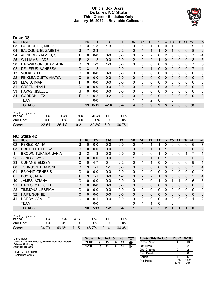# **Official Box Score Duke vs NC State Third Quarter Statistics Only January 16, 2022 at Reynolds Coliseum**



# **Duke 38**

| No. | Player                    | S  | <b>Pts</b> | <b>FG</b> | 3FG      | <b>FT</b> | <b>OR</b>      | <b>DR</b> | <b>TR</b>      | PF          | A            | <b>TO</b>    | <b>Blk</b> | Stl          | Min      | $+/-$       |
|-----|---------------------------|----|------------|-----------|----------|-----------|----------------|-----------|----------------|-------------|--------------|--------------|------------|--------------|----------|-------------|
| 03  | GOODCHILD, MIELA          | G  | 3          | 1-3       | 1-3      | $0 - 0$   | 0              |           | 1              | 0           | 0            |              | 0          | 0            | 9        | $-1$        |
| 04  | <b>BALOGUN, ELIZABETH</b> | G  |            | $2 - 3$   | $1 - 1$  | $2 - 2$   | 0              |           |                |             | 0            |              | 0          | $\mathbf 0$  | 8        | $-2$        |
| 24  | AKINBODE-JAMES, O.        | F  | 0          | $0 - 0$   | $0 - 0$  | $0 - 0$   | 0              | 2         | 2              | 0           | 2            | 0            | 0          | 0            | 7        | $-4$        |
| 25  | <b>WILLIAMS, JADE</b>     | F  | 2          | $1 - 2$   | $0 - 0$  | $0 - 0$   | $\overline{2}$ | 0         | $\overline{2}$ |             | 0            | $\mathbf{0}$ | 0          | $\mathbf{0}$ | 3        | 5           |
| 30  | DAY-WILSON, SHAYEANN      | G  | 3          | $1 - 3$   | $1 - 3$  | $0-0$     | 0              | 0         | 0              | 0           | 0            | 0            | 0          | $\Omega$     | 7        | 5           |
| 02  | DE JESUS, VANESSA         | G  | 3          | $1 - 2$   | $1 - 1$  | $0 - 0$   |                | 0         | $\mathbf{1}$   | 0           | $\mathbf{0}$ | 0            | 0          | 0            |          | $-1$        |
| 13  | <b>VOLKER, LEE</b>        | G  | 0          | $0 - 0$   | $0 - 0$  | $0 - 0$   | 0              | 0         | 0              | 0           | 0            | 0            | 0          | $\Omega$     | 0        | 0           |
| 22  | FINKLEA-GUITY, AMAYA      | С  | 0          | $0 - 0$   | $0 - 0$  | $0 - 0$   | $\mathbf{0}$   | 0         | 0              | 0           | $\mathbf{0}$ | 0            | 0          | $\mathbf{0}$ | 0        | $\mathbf 0$ |
| 23  | LEWIS, IMANI              | F  | 0          | $0 - 0$   | $0 - 0$  | $0 - 0$   | 0              | 0         | 0              | 0           | 0            | 0            | 0          | $\Omega$     | $\Omega$ | 0           |
| 31  | <b>GREEN, NYAH</b>        | G  | 0          | $0 - 0$   | $0 - 0$  | $0 - 0$   | $\mathbf{0}$   | 0         | 0              | 0           | $\mathbf{0}$ | $\Omega$     | 0          | $\Omega$     | 0        | $\mathbf 0$ |
| 33  | HAVAS, JISELLE            | G  | 0          | $0 - 0$   | $0 - 0$  | $0 - 0$   | $\Omega$       | 0         | 0              | 0           | 0            | $\Omega$     | 0          | $\Omega$     | $\Omega$ | 0           |
| 34  | <b>GORDON, LEXI</b>       | F. |            | $0 - 2$   | $0 - 2$  | $1 - 2$   | $\Omega$       | 0         | 0              | 0           |              | 0            | 0          | $\Omega$     | 9        | $-2$        |
|     | <b>TEAM</b>               |    |            | $0 - 0$   |          |           | 1              | 1         | 2              | $\Omega$    |              | $\mathbf 0$  |            |              |          |             |
|     | <b>TOTALS</b>             |    | 19         | $6 - 15$  | $4 - 10$ | $3 - 4$   | 4              | 5         | 9              | $\mathbf 2$ | 3            | $\mathbf 2$  | 0          | $\bf{0}$     | 50       |             |

| <b>Shooting By Period</b><br>Period | FG        | FG%   | 3FG   | 3FG%  |     | FT%   |
|-------------------------------------|-----------|-------|-------|-------|-----|-------|
| 2nd Half                            | ი-ი       | 0%    | ባ-ባ   | በ%    | 0-0 | 0%    |
| Game                                | $22 - 61$ | 36.1% | 10-31 | 32.3% | 6-9 | 66.7% |

# **NC State 42**

| No. | Player                  | S | Pts      | <b>FG</b> | 3FG     | <b>FT</b> | <b>OR</b> | <b>DR</b>      | <b>TR</b>      | PF | A            | <b>TO</b> | <b>Blk</b>   | Stl          | Min            | $+/-$       |
|-----|-------------------------|---|----------|-----------|---------|-----------|-----------|----------------|----------------|----|--------------|-----------|--------------|--------------|----------------|-------------|
| 02  | PEREZ, RAINA            | G | 0        | $0-0$     | $0 - 0$ | $0-0$     | 0         |                | 1              |    | 0            | 0         | 0            | $\Omega$     | 6              | $-7$        |
| 03  | <b>CRUTCHFIELD, KAI</b> | G | $\Omega$ | $0 - 0$   | $0 - 0$ | $0-0$     | 0         |                | 1              |    |              | $\Omega$  | 0            | $\mathbf{0}$ | 6              | $-2$        |
| 11  | BROWN-TURNER, JAKIA     | G | 2        | $1 - 3$   | $0 - 0$ | $0 - 0$   | 0         | 0              | $\mathbf{0}$   |    | 0            | $\Omega$  | 0            |              |                | $-1$        |
| 25  | JONES, KAYLA            | F | 0        | $0 - 0$   | $0 - 0$ | $0 - 0$   | 1         | 0              | 1              | 0  |              | $\Omega$  | $\Omega$     | $\Omega$     | 5              | $-5$        |
| 33  | <b>CUNANE, ELISSA</b>   | С | 10       | $4 - 7$   | $0 - 1$ | $2 - 2$   | 0         | 1              | 1              | 0  | 0            | 0         | $\mathbf{0}$ | $\mathbf{0}$ | 9              | 1           |
| 00  | JOHNSON, DIAMOND        | G | 3        | $1 - 1$   | $1 - 1$ | $0 - 0$   | $\Omega$  | 0              | 0              | 0  | 0            | 0         | 0            | $\Omega$     | 5              | 4           |
| 01  | <b>BRYANT, GENESIS</b>  | G | $\Omega$ | $0 - 0$   | $0 - 0$ | $0-0$     | 0         | 0              | $\mathbf{0}$   | 0  | 0            | 0         | 0            | $\Omega$     | 0              | 0           |
| 05  | BOYD, JADA              | F | 3        | $1 - 1$   | $0 - 0$ | $1 - 2$   | 0         | $\overline{2}$ | $\overline{2}$ |    | 0            | $\Omega$  | $\Omega$     | $\Omega$     | 5              | 4           |
| 10  | JAMES, AZIAHA           | G | $\Omega$ | $0-0$     | $0 - 0$ | $0-0$     | 0         | 0              | 0              |    | 0            |           |              | 0            | 6              | 3           |
| 21  | <b>HAYES, MADISON</b>   | G | $\Omega$ | $0 - 0$   | $0 - 0$ | $0-0$     | $\Omega$  | $\Omega$       | $\mathbf{0}$   | 0  | $\Omega$     | $\Omega$  | $\Omega$     | $\Omega$     | $\overline{0}$ | $\mathbf 0$ |
| 23  | TIMMONS, JESSICA        | G | $\Omega$ | $0-0$     | $0 - 0$ | $0-0$     | 0         | 0              | $\mathbf{0}$   | 0  | 0            | $\Omega$  | 0            | $\Omega$     | $\mathbf 0$    | 0           |
| 32  | HART, SOPHIE            | C | $\Omega$ | $0 - 0$   | $0 - 0$ | $0-0$     | $\Omega$  | $\Omega$       | $\mathbf 0$    | 0  | $\mathbf{0}$ | 0         | 0            | $\mathbf{0}$ | $\mathbf 0$    | $\mathbf 0$ |
| 41  | <b>HOBBY, CAMILLE</b>   | C | $\Omega$ | $0 - 1$   | $0 - 0$ | $0-0$     | 0         | $\Omega$       | $\Omega$       | 0  | 0            | $\Omega$  | 0            | $\Omega$     |                | $-2$        |
|     | TEAM                    |   |          | $0 - 0$   |         |           | 0         | 1              | 1              | 0  |              | 0         |              |              |                |             |
|     | <b>TOTALS</b>           |   | 18       | $7 - 13$  | $1 - 2$ | $3 - 4$   | 1         | 6              | 7              | 5  | 2            |           | 1            | 1            | 50             |             |

| <b>Shooting By Period</b><br>Period | FG    | FG%   | 3FG      | 3FG%  |          | FT%   |
|-------------------------------------|-------|-------|----------|-------|----------|-------|
| 2nd Half                            | ი-ი   | 0%    | ი-ი      | 0%    | 0-0      | 0%    |
| Game                                | 34 73 | 46.6% | $7 - 15$ | 46.7% | $9 - 14$ | 64.3% |

| Game Notes:                                                                 | <b>Score</b> | 1st | 2 <sub>nd</sub> | 3rd | 4th | <b>TOT</b> | <b>Points (This Period)</b> | <b>DUKE NCSU</b> |
|-----------------------------------------------------------------------------|--------------|-----|-----------------|-----|-----|------------|-----------------------------|------------------|
| Officials: Denise Brooks, Pualani Spurlock-Welsh.<br><b>Edward Sidlasky</b> | <b>DUKE</b>  |     |                 | 19  |     | 60         | In the Paint                |                  |
| Attendance: 5500                                                            | <b>NCSU</b>  | 19  | 23              | 18  | 24  | 84         | Off Turns                   |                  |
|                                                                             |              |     |                 |     |     |            | 2nd Chance                  |                  |
| Start Time: 09:00 PM<br>Conference Came:                                    |              |     |                 |     |     |            | <b>Fast Break</b>           |                  |

Conference Game;

| 2nd Chance | っ             |               |
|------------|---------------|---------------|
| Fast Break |               |               |
| Bench      |               | հ             |
| Per Poss   | 1.188<br>8/16 | 1.200<br>9/15 |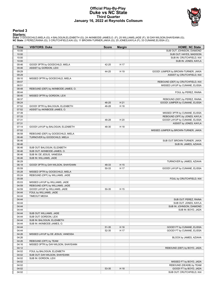### **Official Play-By-Play Duke vs NC State Third Quarter January 16, 2022 at Reynolds Coliseum**



## **Period 3**

<mark>Starters:</mark><br>Duke: 3 GOODCHILD,MIELA (G); 4 BALOGUN,ELIZABETH (G); 24 AKINBODE-JAMES,O. (F); 25 WILLIAMS,JADE (F); 30 DAY-WILSON,SHAYEANN (G);<br>**NC State**: 2 PEREZ,RAINA (G); 3 CRUTCHFIELD,KAI (G); 11 BROWN-TURNER,JAKIA (G);

| Time           | <b>VISITORS: Duke</b>               | <b>Score</b>   | <b>Margin</b> | <b>HOME: NC State</b>                                               |
|----------------|-------------------------------------|----------------|---------------|---------------------------------------------------------------------|
| 10:00          |                                     |                |               | SUB OUT: JOHNSON, DIAMOND                                           |
| 10:00          |                                     |                |               | SUB OUT: HAYES, MADISON                                             |
| 10:00          |                                     |                |               | SUB IN: CRUTCHFIELD, KAI                                            |
| 10:00          |                                     |                |               | SUB IN: JONES, KAYLA                                                |
| 09:46          | GOOD! 3PTR by GOODCHILD, MIELA      | 42-25          | H 17          |                                                                     |
| 09:46          | ASSIST by GORDON, LEXI              |                |               |                                                                     |
| 09:29          |                                     | 44-25          | H 19          | GOOD! JUMPER by BROWN-TURNER, JAKIA                                 |
| 09:29          |                                     |                |               | ASSIST by CRUTCHFIELD, KAI                                          |
| 09:10          | MISSED 3PTR by GOODCHILD, MIELA     |                |               |                                                                     |
| 09:07<br>08:51 |                                     |                |               | REBOUND (DEF) by CRUTCHFIELD, KAI<br>MISSED LAYUP by CUNANE, ELISSA |
| 08:48          | REBOUND (DEF) by AKINBODE-JAMES, O. |                |               |                                                                     |
| 08:44          |                                     |                |               | FOUL by PEREZ, RAINA                                                |
| 08:40          | MISSED 3PTR by GORDON, LEXI         |                |               |                                                                     |
| 08:37          |                                     |                |               | REBOUND (DEF) by PEREZ, RAINA                                       |
| 08:24          |                                     | 46-25          | H 21          | GOOD! JUMPER by CUNANE, ELISSA                                      |
| 07:52          | GOOD! 3PTR by BALOGUN, ELIZABETH    | 46-28          | H 18          |                                                                     |
| 07:52          | ASSIST by AKINBODE-JAMES, O.        |                |               |                                                                     |
| 07:39          |                                     |                |               | MISSED 3PTR by CUNANE, ELISSA                                       |
| 07:33          |                                     |                |               | REBOUND (OFF) by JONES, KAYLA                                       |
| 07:31          |                                     | 48-28          | H 20          | GOOD! LAYUP by CUNANE, ELISSA                                       |
| 07:31          |                                     |                |               | ASSIST by JONES, KAYLA                                              |
| 07:14          | GOOD! LAYUP by BALOGUN, ELIZABETH   | 48-30          | H 18          |                                                                     |
| 07:02          |                                     |                |               | MISSED JUMPER by BROWN-TURNER, JAKIA                                |
| 06:58          | REBOUND (DEF) by GOODCHILD, MIELA   |                |               |                                                                     |
| 06:46          | TURNOVER by GOODCHILD, MIELA        |                |               |                                                                     |
| 06:46          |                                     |                |               | SUB OUT: BROWN-TURNER, JAKIA                                        |
| 06:46          |                                     |                |               | SUB IN: JAMES, AZIAHA                                               |
| 06:46          | SUB OUT: BALOGUN, ELIZABETH         |                |               |                                                                     |
| 06:46          | SUB OUT: AKINBODE-JAMES, O.         |                |               |                                                                     |
| 06:46          | SUB IN: DE JESUS, VANESSA           |                |               |                                                                     |
| 06:46          | SUB IN: WILLIAMS, JADE              |                |               |                                                                     |
| 06:29          |                                     |                |               | TURNOVER by JAMES, AZIAHA                                           |
| 06:18<br>05:59 | GOOD! 3PTR by DAY-WILSON, SHAYEANN  | 48-33<br>50-33 | H 15<br>H 17  |                                                                     |
| 05:28          | MISSED 3PTR by GOODCHILD, MIELA     |                |               | GOOD! LAYUP by CUNANE, ELISSA                                       |
| 05:24          | REBOUND (OFF) by WILLIAMS, JADE     |                |               |                                                                     |
| 05:08          |                                     |                |               | FOUL by CRUTCHFIELD, KAI                                            |
| 05:03          | MISSED LAYUP by WILLIAMS, JADE      |                |               |                                                                     |
| 04:59          | REBOUND (OFF) by WILLIAMS, JADE     |                |               |                                                                     |
| 04:59          | GOOD! LAYUP by WILLIAMS, JADE       | 50-35          | H 15          |                                                                     |
| 04:44          | FOUL by WILLIAMS, JADE              |                |               |                                                                     |
| 04:44          | <b>TIMEOUT MEDIA</b>                |                |               |                                                                     |
| 04:44          |                                     |                |               | SUB OUT: PEREZ, RAINA                                               |
| 04:44          |                                     |                |               | SUB OUT: JONES, KAYLA                                               |
| 04:44          |                                     |                |               | SUB IN: JOHNSON, DIAMOND                                            |
| 04:44          |                                     |                |               | SUB IN: BOYD, JADA                                                  |
| 04:44          | SUB OUT: WILLIAMS, JADE             |                |               |                                                                     |
| 04:44          | SUB OUT: GORDON, LEXI               |                |               |                                                                     |
| 04:44          | SUB IN: BALOGUN, ELIZABETH          |                |               |                                                                     |
| 04:44          | SUB IN: AKINBODE-JAMES, O.          |                |               |                                                                     |
| 04:44          |                                     | 51-35          | H 16          | GOOD! FT by CUNANE, ELISSA                                          |
| 04:44          |                                     | 52-35          | H 17          | GOOD! FT by CUNANE, ELISSA                                          |
| 04:26          | MISSED LAYUP by DE JESUS, VANESSA   |                |               |                                                                     |
| 04:26          |                                     |                |               | BLOCK by JAMES, AZIAHA                                              |
| 04:26          | REBOUND (OFF) by TEAM               |                |               |                                                                     |
| 04:16          | MISSED 3PTR by DAY-WILSON, SHAYEANN |                |               |                                                                     |
| 04:12          |                                     |                |               | REBOUND (DEF) by BOYD, JADA                                         |
| 04:02          | FOUL by BALOGUN, ELIZABETH          |                |               |                                                                     |
| 04:02          | SUB OUT: DAY-WILSON, SHAYEANN       |                |               |                                                                     |
| 04:02          | SUB IN: GORDON, LEXI                |                |               |                                                                     |
| 04:02<br>04:02 |                                     |                |               | MISSED FT by BOYD, JADA<br>REBOUND (DEADB) by TEAM                  |
| 04:02          |                                     | 53-35          | H 18          | GOOD! FT by BOYD, JADA                                              |
| 04:02          |                                     |                |               | SUB OUT: CRUTCHFIELD, KAI                                           |
|                |                                     |                |               |                                                                     |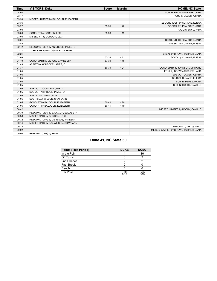| <b>Time</b> | <b>VISITORS: Duke</b>               | <b>Score</b> | <b>Margin</b> | <b>HOME: NC State</b>                |
|-------------|-------------------------------------|--------------|---------------|--------------------------------------|
| 04:02       |                                     |              |               | SUB IN: BROWN-TURNER, JAKIA          |
| 03:47       |                                     |              |               | FOUL by JAMES, AZIAHA                |
| 03:39       | MISSED JUMPER by BALOGUN, ELIZABETH |              |               |                                      |
| 03:36       |                                     |              |               | REBOUND (DEF) by CUNANE, ELISSA      |
| 03:22       |                                     | 55-35        | H 20          | GOOD! LAYUP by BOYD, JADA            |
| 03:03       |                                     |              |               | FOUL by BOYD, JADA                   |
| 03:03       | GOOD! FT by GORDON, LEXI            | 55-36        | H 19          |                                      |
| 03:03       | MISSED FT by GORDON, LEXI           |              |               |                                      |
| 03:01       |                                     |              |               | REBOUND (DEF) by BOYD, JADA          |
| 02:45       |                                     |              |               | MISSED by CUNANE, ELISSA             |
| 02:42       | REBOUND (DEF) by AKINBODE-JAMES, O. |              |               |                                      |
| 02:21       | TURNOVER by BALOGUN, ELIZABETH      |              |               |                                      |
| 02:21       |                                     |              |               | STEAL by BROWN-TURNER, JAKIA         |
| 02:09       |                                     | 57-36        | H 21          | GOOD! by CUNANE, ELISSA              |
| 01:49       | GOOD! 3PTR by DE JESUS, VANESSA     | 57-39        | H 18          |                                      |
| 01:49       | ASSIST by AKINBODE-JAMES, O.        |              |               |                                      |
| 01:37       |                                     | 60-39        | H 21          | GOOD! 3PTR by JOHNSON, DIAMOND       |
| 01:05       |                                     |              |               | FOUL by BROWN-TURNER, JAKIA          |
| 01:05       |                                     |              |               | SUB OUT: JAMES, AZIAHA               |
| 01:05       |                                     |              |               | SUB OUT: CUNANE, ELISSA              |
| 01:05       |                                     |              |               | SUB IN: PEREZ, RAINA                 |
| 01:05       |                                     |              |               | SUB IN: HOBBY, CAMILLE               |
| 01:05       | SUB OUT: GOODCHILD, MIELA           |              |               |                                      |
| 01:05       | SUB OUT: AKINBODE-JAMES, O.         |              |               |                                      |
| 01:05       | SUB IN: WILLIAMS, JADE              |              |               |                                      |
| 01:05       | SUB IN: DAY-WILSON, SHAYEANN        |              |               |                                      |
| 01:05       | GOOD! FT by BALOGUN, ELIZABETH      | 60-40        | H 20          |                                      |
| 01:05       | GOOD! FT by BALOGUN, ELIZABETH      | 60-41        | H 19          |                                      |
| 00:42       |                                     |              |               | MISSED JUMPER by HOBBY, CAMILLE      |
| 00:39       | REBOUND (DEF) by BALOGUN, ELIZABETH |              |               |                                      |
| 00:36       | MISSED 3PTR by GORDON, LEXI         |              |               |                                      |
| 00:32       | REBOUND (OFF) by DE JESUS, VANESSA  |              |               |                                      |
| 00:14       | MISSED 3PTR by DAY-WILSON, SHAYEANN |              |               |                                      |
| 00:12       |                                     |              |               | REBOUND (DEF) by TEAM                |
| 00:02       |                                     |              |               | MISSED JUMPER by BROWN-TURNER, JAKIA |
| 00:00       | REBOUND (DEF) by TEAM               |              |               |                                      |

# **Duke 41, NC State 60**

| <b>Points (This Period)</b> | <b>DUKE</b>   | <b>NCSU</b>   |
|-----------------------------|---------------|---------------|
| In the Paint                |               | 10            |
| Off Turns                   | 2             |               |
| 2nd Chance                  | າ             |               |
| <b>Fast Break</b>           |               |               |
| Bench                       |               |               |
| Per Poss                    | 1.188<br>8/16 | 1.200<br>9/15 |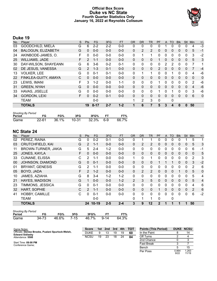### **Official Box Score Duke vs NC State Fourth Quarter Statistics Only January 16, 2022 at Reynolds Coliseum**



# **Duke 19**

| No. | Player                    | S  | <b>Pts</b>     | <b>FG</b> | 3FG     | <b>FT</b> | <b>OR</b> | <b>DR</b>    | <b>TR</b>      | <b>PF</b>     | A            | TO           | <b>BIK</b> | Stl          | Min          | $+/-$          |
|-----|---------------------------|----|----------------|-----------|---------|-----------|-----------|--------------|----------------|---------------|--------------|--------------|------------|--------------|--------------|----------------|
| 03  | <b>GOODCHILD, MIELA</b>   | G  | 6              | $2 - 2$   | $2 - 2$ | $0 - 0$   | 0         | 0            | 0              | 0             |              | 0            | 0          | 0            | 4            | $-3$           |
| 04  | <b>BALOGUN, ELIZABETH</b> | G  | 0              | $0 - 0$   | $0 - 0$ | $0 - 0$   | $\Omega$  | 2            | $\overline{2}$ | 0             | 0            | 0            | 0          | $\mathbf{0}$ | 5            | $-1$           |
| 24  | AKINBODE-JAMES, O.        | F  | 0              | $0-0$     | $0 - 0$ | $0 - 0$   | 0         |              | 1              | 0             | 0            | 0            | 0          | 0            | 3            | $-2$           |
| 25  | <b>WILLIAMS, JADE</b>     | F  | $\overline{2}$ | $1 - 1$   | $0 - 0$ | $0 - 0$   | $\Omega$  | 0            | 0              |               | 0            | $\mathbf{0}$ | 0          | $\mathbf{0}$ | 5            | 3              |
| 30  | DAY-WILSON, SHAYEANN      | G  | 6              | $3-6$     | $0 - 2$ | $0 - 1$   | 0         | $\Omega$     | 0              | 0             | 2            | 2            | 0          | $\Omega$     | 7            | 1              |
| 02  | DE JESUS, VANESSA         | G  | $\mathcal{P}$  | $1 - 3$   | $0 - 1$ | $0 - 0$   | $\Omega$  | $\mathbf{0}$ | 0              | $\mathcal{P}$ | $\Omega$     | $\Omega$     | $\Omega$   | $\Omega$     |              | $-4$           |
| 13  | <b>VOLKER, LEE</b>        | G  | $\Omega$       | $0 - 1$   | $0 - 1$ | $0 - 0$   | 0         | 1            | 1              | 0             | $\Omega$     |              | 0          | $\Omega$     | 4            | -6             |
| 22  | FINKLEA-GUITY, AMAYA      | С  | $\Omega$       | $0 - 0$   | $0 - 0$ | $0 - 0$   | $\Omega$  | $\Omega$     | 0              | 0             | $\mathbf{0}$ | $\Omega$     | $\Omega$   | $\Omega$     | $\mathbf{0}$ | $\overline{0}$ |
| 23  | LEWIS, IMANI              | F. | 3              | $1 - 2$   | $0 - 0$ | $1 - 1$   | 0         | $\Omega$     | 0              |               | $\Omega$     | $\Omega$     | 0          | $\Omega$     | 2            | $-6$           |
| 31  | <b>GREEN, NYAH</b>        | G  | $\Omega$       | $0 - 0$   | $0 - 0$ | $0 - 0$   | $\Omega$  | $\mathbf{0}$ | 0              | 0             | 0            | $\Omega$     | $\Omega$   | $\mathbf{0}$ | 4            | $-6$           |
| 33  | HAVAS, JISELLE            | G  | $\Omega$       | $0 - 0$   | $0 - 0$ | $0 - 0$   | 0         | 0            | 0              |               | 0            |              | 0          | 0            | 3            | $-6$           |
| 34  | <b>GORDON, LEXI</b>       | F  | $\Omega$       | $0 - 2$   | $0 - 1$ | $0 - 0$   | $\Omega$  | $\Omega$     | 0              | 0             | $\Omega$     | $\Omega$     | $\Omega$   | 0            | 6            | $\mathbf{0}$   |
|     | TEAM                      |    |                | $0 - 0$   |         |           |           | 2            | 3              | 0             |              | 0            |            |              |              |                |
|     | <b>TOTALS</b>             |    | 19             | $8 - 17$  | $2 - 7$ | $1 - 2$   |           | 6            | 7              | 5             | 3            | 4            | 0          | 0            | 50           |                |

| <b>Shooting By Period</b> |           |       |       |           |       |
|---------------------------|-----------|-------|-------|-----------|-------|
| Period                    | FG        | FG%   | 3FG   | 3FG%      | FT%   |
| Game                      | $22 - 61$ | 36.1% | 10-31 | 32.3% 6-9 | 66.7% |

# **NC State 24**

| No. | Player                  | S | Pts           | <b>FG</b> | 3FG     | <b>FT</b> | <b>OR</b>      | <b>DR</b>      | <b>TR</b>      | PF       | A            | <b>TO</b> | <b>Blk</b> | Stl          | Min            | $+/-$          |
|-----|-------------------------|---|---------------|-----------|---------|-----------|----------------|----------------|----------------|----------|--------------|-----------|------------|--------------|----------------|----------------|
| 02  | PEREZ, RAINA            | G | $\Omega$      | $0 - 2$   | $0 - 1$ | $0-0$     | 0              | 1              | 1              | 0        | 0            | $\Omega$  | 0          |              | 5              | 1              |
| 03  | <b>CRUTCHFIELD, KAI</b> | G | 2             | $1 - 1$   | $0 - 0$ | $0 - 0$   | 0              | 2              | $\overline{2}$ | $\Omega$ | 0            | 0         | 0          | 0            | 5              | 3              |
| 11  | BROWN-TURNER, JAKIA     | G | 5.            | $2 - 4$   | $1 - 2$ | $0-0$     | $\mathbf{0}$   | $\mathbf{0}$   | 0              | 0        | 0            | 0         | 0          | 0            | 6              | $-1$           |
| 25  | JONES, KAYLA            | F | $\Omega$      | $0 - 0$   | $0 - 0$ | $0-0$     | $\Omega$       | 0              | $\Omega$       | $\Omega$ | 0            | 0         | $\Omega$   | 0            | $\Omega$       | 5              |
| 33  | <b>CUNANE, ELISSA</b>   | C | 2             | $1 - 1$   | $0 - 0$ | $0-0$     | 1              | $\Omega$       | 1              | $\Omega$ | $\mathbf{0}$ | $\Omega$  | $\Omega$   | $\mathbf{0}$ | $\overline{2}$ | 3              |
| 00  | JOHNSON, DIAMOND        | G | $\Omega$      | $0 - 1$   | $0 - 0$ | $0 - 0$   | 0              | 0              | $\Omega$       |          |              |           | 0          | 0            | 3              | $-2$           |
| 01  | <b>BRYANT, GENESIS</b>  | G | 2             | $1 - 1$   | $0-0$   | $0-0$     | 0              | 0              | 0              | 0        | 0            | 0         | 0          | 0            | 2              | 6              |
| 05  | BOYD, JADA              | F | 2             | $1 - 2$   | $0 - 0$ | $0-0$     | $\Omega$       | $\overline{2}$ | $\overline{2}$ | $\Omega$ | 0            | 0         |            | 0            | 5              | $\mathbf 0$    |
| 10  | JAMES, AZIAHA           | G | 8             | $3 - 4$   | $1 - 2$ | $1 - 2$   | 0              | 0              | 0              | 0        | 0            | 0         | 0          | 0            | 5              | 4              |
| 21  | <b>HAYES, MADISON</b>   | G |               | $0 - 0$   | $0 - 0$ | $1 - 2$   | $\overline{2}$ | 3              | 5              | $\Omega$ | $\Omega$     | $\Omega$  | $\Omega$   | $\Omega$     | 5              | $\overline{4}$ |
| 23  | TIMMONS, JESSICA        | G | 0             | $0 - 1$   | $0 - 0$ | $0-0$     | $\Omega$       | $\mathbf{0}$   | 0              | 0        | 0            | 0         | 0          | 0            | 4              | 6              |
| 32  | <b>HART, SOPHIE</b>     | C | $\mathcal{P}$ | $1 - 1$   | $0 - 0$ | $0 - 0$   | $\Omega$       | 0              | 0              |          | 0            | 0         | $\Omega$   | 0            | 2              | 6              |
| 41  | HOBBY, CAMILLE          | C | $\Omega$      | $0 - 1$   | $0 - 0$ | $0-0$     | $\Omega$       | $\Omega$       | $\Omega$       | $\Omega$ | 0            | 0         | 0          | 0            | 6              | $-2$           |
|     | <b>TEAM</b>             |   |               | $0 - 0$   |         |           | 0              | 1              | 1              | 0        |              | 0         |            |              |                |                |
|     | <b>TOTALS</b>           |   |               | 24 10-19  | $2 - 5$ | $2 - 4$   | 3              | 9              | 12             | 2        |              |           |            |              | 50             |                |

| <b>Shooting By Period</b> |       |       |      |       |        |       |
|---------------------------|-------|-------|------|-------|--------|-------|
| Period                    | FG    | FG%   | 3FG  | 3FG%  | FТ     | FT%   |
| Game                      | 34-73 | 46.6% | 7-15 | 46.7% | $9-14$ | 64.3% |

| Game Notes:                                                                 | <b>Score</b> | 1st | 2nd | 3rd | 4th | <b>TOT</b> | <b>Points (This Period)</b> | <b>DUKE NCSU</b> |                |
|-----------------------------------------------------------------------------|--------------|-----|-----|-----|-----|------------|-----------------------------|------------------|----------------|
| Officials: Denise Brooks, Pualani Spurlock-Welsh,<br><b>Edward Sidlasky</b> | <b>DUKE</b>  | 9   | 13  | 19  | 19  | 60         | In the Paint                |                  | 14             |
| Attendance: 5500                                                            | <b>NCSU</b>  | 19  | 23  | 18  | 24  | 84         | Off Turns                   |                  |                |
|                                                                             |              |     |     |     |     |            | 2nd Chance                  |                  |                |
| Start Time: 09:00 PM<br>Conference Game;                                    |              |     |     |     |     |            | <b>Fast Break</b>           |                  |                |
|                                                                             |              |     |     |     |     |            | Bench                       |                  | 15             |
|                                                                             |              |     |     |     |     |            | Per Poss                    | 0.864<br>9/22    | 1.263<br>11/19 |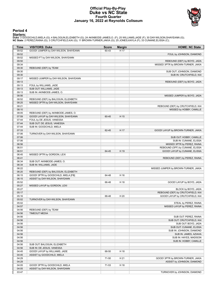### **Official Play-By-Play Duke vs NC State Fourth Quarter January 16, 2022 at Reynolds Coliseum**



### **Period 4**

<mark>Starters:</mark><br>Duke: 3 GOODCHILD,MIELA (G); 4 BALOGUN,ELIZABETH (G); 24 AKINBODE-JAMES,O. (F); 25 WILLIAMS,JADE (F); 30 DAY-WILSON,SHAYEANN (G);<br>**NC State**: 2 PEREZ,RAINA (G); 3 CRUTCHFIELD,KAI (G); 11 BROWN-TURNER,JAKIA (G);

| Time           | <b>VISITORS: Duke</b>                                 | <b>Score</b> | <b>Margin</b> | <b>HOME: NC State</b>                            |
|----------------|-------------------------------------------------------|--------------|---------------|--------------------------------------------------|
| 09:52          | GOOD! JUMPER by DAY-WILSON, SHAYEANN                  | 60-43        | H 17          |                                                  |
| 09:52          |                                                       |              |               | FOUL by JOHNSON, DIAMOND                         |
| 09:52          | MISSED FT by DAY-WILSON, SHAYEANN                     |              |               |                                                  |
| 09:50          |                                                       |              |               | REBOUND (DEF) by BOYD, JADA                      |
| 09:34          |                                                       |              |               | MISSED 3PTR by BROWN-TURNER, JAKIA               |
| 09:30          | REBOUND (DEF) by TEAM                                 |              |               |                                                  |
| 09:30          |                                                       |              |               | SUB OUT: JOHNSON, DIAMOND                        |
| 09:30          |                                                       |              |               | SUB IN: CRUTCHFIELD, KAI                         |
| 09:17          | MISSED JUMPER by DAY-WILSON, SHAYEANN                 |              |               |                                                  |
| 09:13<br>09:13 |                                                       |              |               | REBOUND (DEF) by BOYD, JADA                      |
| 09:13          | FOUL by WILLIAMS, JADE<br>SUB OUT: WILLIAMS, JADE     |              |               |                                                  |
| 09:13          | SUB IN: AKINBODE-JAMES, O.                            |              |               |                                                  |
| 08:56          |                                                       |              |               | MISSED JUMPER by BOYD, JADA                      |
| 08:52          | REBOUND (DEF) by BALOGUN, ELIZABETH                   |              |               |                                                  |
| 08:25          | MISSED 3PTR by DAY-WILSON, SHAYEANN                   |              |               |                                                  |
| 08:21          |                                                       |              |               | REBOUND (DEF) by CRUTCHFIELD, KAI                |
| 08:10          |                                                       |              |               | MISSED by HOBBY, CAMILLE                         |
| 08:05          | REBOUND (DEF) by AKINBODE-JAMES, O.                   |              |               |                                                  |
| 07:59          | GOOD! LAYUP by DAY-WILSON, SHAYEANN                   | 60-45        | H 15          |                                                  |
| 07:44          | FOUL by DE JESUS, VANESSA                             |              |               |                                                  |
| 07:44          | SUB OUT: DE JESUS, VANESSA                            |              |               |                                                  |
| 07:44          | SUB IN: GOODCHILD, MIELA                              |              |               |                                                  |
| 07:33          |                                                       | 62-45        | H 17          | GOOD! LAYUP by BROWN-TURNER, JAKIA               |
| 07:06          | TURNOVER by DAY-WILSON, SHAYEANN                      |              |               |                                                  |
| 07:06          |                                                       |              |               | SUB OUT: HOBBY, CAMILLE                          |
| 07:06          |                                                       |              |               | SUB IN: CUNANE, ELISSA                           |
| 06:56          |                                                       |              |               | MISSED 3PTR by PEREZ, RAINA                      |
| 06:51          |                                                       |              |               | REBOUND (OFF) by CUNANE, ELISSA                  |
| 06:51          |                                                       | 64-45        | H 19          | GOOD! LAYUP by CUNANE, ELISSA                    |
| 06:45          | MISSED 3PTR by GORDON, LEXI                           |              |               |                                                  |
| 06:41<br>06:34 |                                                       |              |               | REBOUND (DEF) by PEREZ, RAINA                    |
| 06:34          | SUB OUT: AKINBODE-JAMES, O.<br>SUB IN: WILLIAMS, JADE |              |               |                                                  |
| 06:22          |                                                       |              |               | MISSED JUMPER by BROWN-TURNER, JAKIA             |
| 06:20          | REBOUND (DEF) by BALOGUN, ELIZABETH                   |              |               |                                                  |
| 06:15          | GOOD! 3PTR by GOODCHILD, MIELA [FB]                   | 64-48        | H 16          |                                                  |
| 06:15          | ASSIST by DAY-WILSON, SHAYEANN                        |              |               |                                                  |
| 05:52          |                                                       | 66-48        | H 18          | GOOD! LAYUP by BOYD, JADA                        |
| 05:27          | MISSED LAYUP by GORDON, LEXI                          |              |               |                                                  |
| 05:27          |                                                       |              |               | BLOCK by BOYD, JADA                              |
| 05:17          |                                                       |              |               | REBOUND (DEF) by CRUTCHFIELD, KAI                |
| 05:16          |                                                       | 68-48        | H 20          | GOOD! LAYUP by CRUTCHFIELD, KAI                  |
| 05:02          | TURNOVER by DAY-WILSON, SHAYEANN                      |              |               |                                                  |
| 05:02          |                                                       |              |               | STEAL by PEREZ, RAINA                            |
| 04:57          |                                                       |              |               | MISSED LAYUP by PEREZ, RAINA                     |
| 04:56          | REBOUND (DEF) by TEAM                                 |              |               |                                                  |
| 04:56          | <b>TIMEOUT MEDIA</b>                                  |              |               |                                                  |
| 04:56          |                                                       |              |               | SUB OUT: PEREZ, RAINA                            |
| 04:56          |                                                       |              |               | SUB OUT: CRUTCHFIELD, KAI                        |
| 04:56          |                                                       |              |               | SUB OUT: BOYD, JADA                              |
| 04:56          |                                                       |              |               | SUB OUT: CUNANE, ELISSA                          |
| 04:56<br>04:56 |                                                       |              |               | SUB IN: JOHNSON, DIAMOND                         |
| 04:56          |                                                       |              |               | SUB IN: JAMES, AZIAHA                            |
| 04:56          |                                                       |              |               | SUB IN: HAYES, MADISON<br>SUB IN: HOBBY, CAMILLE |
| 04:56          | SUB OUT: BALOGUN, ELIZABETH                           |              |               |                                                  |
| 04:56          | SUB IN: DE JESUS, VANESSA                             |              |               |                                                  |
| 04:45          | GOOD! LAYUP by WILLIAMS, JADE                         | 68-50        | H 18          |                                                  |
| 04:45          | ASSIST by GOODCHILD, MIELA                            |              |               |                                                  |
| 04:29          |                                                       | 71-50        | H 21          | GOOD! 3PTR by BROWN-TURNER, JAKIA                |
| 04:29          |                                                       |              |               | ASSIST by JOHNSON, DIAMOND                       |
| 04:05          | GOOD! 3PTR by GOODCHILD, MIELA                        | 71-53        | H 18          |                                                  |
| 04:05          | ASSIST by DAY-WILSON, SHAYEANN                        |              |               |                                                  |
| 03:47          |                                                       |              |               | TURNOVER by JOHNSON, DIAMOND                     |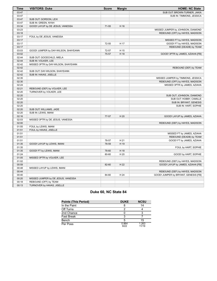| Time  | <b>VISITORS: Duke</b>                | <b>Score</b> | <b>Margin</b> | <b>HOME: NC State</b>                |
|-------|--------------------------------------|--------------|---------------|--------------------------------------|
| 03:47 |                                      |              |               | SUB OUT: BROWN-TURNER, JAKIA         |
| 03:47 |                                      |              |               | SUB IN: TIMMONS, JESSICA             |
| 03:47 | SUB OUT: GORDON, LEXI                |              |               |                                      |
| 03:47 | SUB IN: GREEN, NYAH                  |              |               |                                      |
| 03:34 | GOOD! LAYUP by DE JESUS, VANESSA     | $71 - 55$    | H 16          |                                      |
| 03:23 |                                      |              |               | MISSED JUMPER by JOHNSON, DIAMOND    |
| 03:18 |                                      |              |               | REBOUND (OFF) by HAYES, MADISON      |
| 03:17 | FOUL by DE JESUS, VANESSA            |              |               |                                      |
| 03:17 |                                      |              |               | MISSED FT by HAYES, MADISON          |
| 03:17 |                                      | 72-55        | H 17          | GOOD! FT by HAYES, MADISON           |
| 03:17 |                                      |              |               | REBOUND (DEADB) by TEAM              |
| 03:03 | GOOD! JUMPER by DAY-WILSON, SHAYEANN | 72-57        | H 15          |                                      |
| 03:02 |                                      | 75-57        | H 18          | GOOD! 3PTR by JAMES, AZIAHA [FB]     |
| 02:44 | SUB OUT: GOODCHILD, MIELA            |              |               |                                      |
| 02:44 | SUB IN: VOLKER, LEE                  |              |               |                                      |
| 02:42 | MISSED 3PTR by DAY-WILSON, SHAYEANN  |              |               |                                      |
| 02:42 |                                      |              |               | REBOUND (DEF) by TEAM                |
| 02:42 | SUB OUT: DAY-WILSON, SHAYEANN        |              |               |                                      |
| 02:42 | SUB IN: HAVAS, JISELLE               |              |               |                                      |
| 02:35 |                                      |              |               | MISSED JUMPER by TIMMONS, JESSICA    |
| 02:30 |                                      |              |               | REBOUND (OFF) by HAYES, MADISON      |
| 02:24 |                                      |              |               | MISSED 3PTR by JAMES, AZIAHA         |
| 02:21 | REBOUND (DEF) by VOLKER, LEE         |              |               |                                      |
| 02:20 | TURNOVER by VOLKER, LEE              |              |               |                                      |
| 02:20 |                                      |              |               | SUB OUT: JOHNSON, DIAMOND            |
| 02:20 |                                      |              |               | SUB OUT: HOBBY, CAMILLE              |
| 02:20 |                                      |              |               | SUB IN: BRYANT, GENESIS              |
| 02:20 |                                      |              |               | SUB IN: HART, SOPHIE                 |
| 02:20 | SUB OUT: WILLIAMS, JADE              |              |               |                                      |
| 02:20 | SUB IN: LEWIS, IMANI                 |              |               |                                      |
| 02:16 |                                      | 77-57        | H 20          | GOOD! LAYUP by JAMES, AZIAHA         |
| 02:03 | MISSED 3PTR by DE JESUS, VANESSA     |              |               |                                      |
| 02:00 |                                      |              |               | REBOUND (DEF) by HAYES, MADISON      |
| 01:55 | FOUL by LEWIS, IMANI                 |              |               |                                      |
| 01:51 | FOUL by HAVAS, JISELLE               |              |               |                                      |
| 01:51 |                                      |              |               | MISSED FT by JAMES, AZIAHA           |
| 01:51 |                                      |              |               | REBOUND (DEADB) by TEAM              |
| 01:51 |                                      | 78-57        | H 21          | GOOD! FT by JAMES, AZIAHA            |
| 01:35 | GOOD! LAYUP by LEWIS, IMANI          | 78-59        | H 19          |                                      |
| 01:35 |                                      |              |               | FOUL by HART, SOPHIE                 |
| 01:35 | GOOD! FT by LEWIS, IMANI             | 78-60        | H 18          |                                      |
| 01:24 |                                      | 80-60        | H 20          | GOOD! by HART, SOPHIE                |
| 01:05 | MISSED 3PTR by VOLKER, LEE           |              |               |                                      |
| 01:02 |                                      |              |               | REBOUND (DEF) by HAYES, MADISON      |
| 00:59 |                                      | 82-60        | H 22          | GOOD! LAYUP by JAMES, AZIAHA [FB]    |
| 00:48 | MISSED LAYUP by LEWIS, IMANI         |              |               |                                      |
| 00:44 |                                      |              |               | REBOUND (DEF) by HAYES, MADISON      |
| 00:40 |                                      | 84-60        | H 24          | GOOD! JUMPER by BRYANT, GENESIS [FB] |
| 00:20 | MISSED JUMPER by DE JESUS, VANESSA   |              |               |                                      |
| 00:18 | REBOUND (OFF) by TEAM                |              |               |                                      |
| 00:13 | TURNOVER by HAVAS, JISELLE           |              |               |                                      |

# **Duke 60, NC State 84**

| <b>Points (This Period)</b> | <b>DUKE</b>   | <b>NCSU</b>    |
|-----------------------------|---------------|----------------|
| In the Paint                | 8             |                |
| Off Turns                   | ◠             |                |
| 2nd Chance                  |               |                |
| <b>Fast Break</b>           | ີ             |                |
| Bench                       | 5             | 15             |
| Per Poss                    | 0.864<br>9/22 | 1.263<br>11/19 |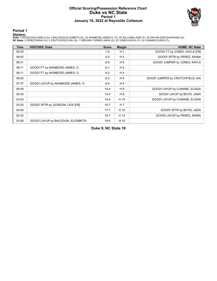### **Official Scoring/Possession Reference Chart Duke vs NC State Period 1 January 16, 2022 at Reynolds Coliseum**



# **Period 1**

<mark>Starters:</mark><br>Duke: 3 GOODCHILD,MIELA (G); 4 BALOGUN,ELIZABETH (G); 24 AKINBODE-JAMES,O. (F); 25 WILLIAMS,JADE (F); 30 DAY-WILSON,SHAYEANN (G);<br>**NC State**: 2 PEREZ,RAINA (G); 3 CRUTCHFIELD,KAI (G); 11 BROWN-TURNER,JAKIA (G);

| <b>Time</b> | <b>VISITORS: Duke</b>             | <b>Score</b> | <b>Margin</b>  | <b>HOME: NC State</b>            |
|-------------|-----------------------------------|--------------|----------------|----------------------------------|
| 09:29       |                                   | $1 - 0$      | H <sub>1</sub> | GOOD! FT by JONES, KAYLA [FB]    |
| 09:02       |                                   | $4 - 0$      | H4             | GOOD! 3PTR by PEREZ, RAINA       |
| 08:31       |                                   | $6-0$        | H <sub>6</sub> | GOOD! JUMPER by JONES, KAYLA     |
| 08:11       | GOOD! FT by AKINBODE-JAMES, O.    | $6 - 1$      | H <sub>5</sub> |                                  |
| 08:11       | GOOD! FT by AKINBODE-JAMES, O.    | $6 - 2$      | H <sub>4</sub> |                                  |
| 08:00       |                                   | $8 - 2$      | H <sub>6</sub> | GOOD! JUMPER by CRUTCHFIELD, KAI |
| 07:37       | GOOD! LAYUP by AKINBODE-JAMES, O. | 8-4          | H4             |                                  |
| 06:49       |                                   | $10 - 4$     | H <sub>6</sub> | GOOD! LAYUP by CUNANE, ELISSA    |
| 05:34       |                                   | $12 - 4$     | H 8            | GOOD! LAYUP by BOYD, JADA        |
| 03:53       |                                   | $14 - 4$     | H 10           | GOOD! LAYUP by CUNANE, ELISSA    |
| 03:25       | GOOD! 3PTR by GORDON, LEXI [FB]   | $14 - 7$     | H <sub>7</sub> |                                  |
| 03:00       |                                   | $17 - 7$     | H 10           | GOOD! 3PTR by BOYD, JADA         |
| 02:32       |                                   | $19 - 7$     | H 12           | GOOD! LAYUP by PEREZ, RAINA      |
| 02:08       | GOOD! LAYUP by BALOGUN, ELIZABETH | $19-9$       | H 10           |                                  |

**Duke 9, NC State 19**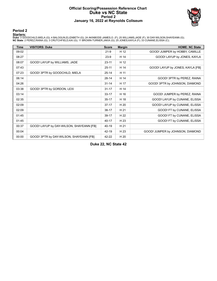### **Official Scoring/Possession Reference Chart Duke vs NC State Period 2 January 16, 2022 at Reynolds Coliseum**



# **Period 2**

<mark>Starters:</mark><br>Duke: 3 GOODCHILD,MIELA (G); 4 BALOGUN,ELIZABETH (G); 24 AKINBODE-JAMES,O. (F); 25 WILLIAMS,JADE (F); 30 DAY-WILSON,SHAYEANN (G);<br>**NC State**: 2 PEREZ,RAINA (G); 3 CRUTCHFIELD,KAI (G); 11 BROWN-TURNER,JAKIA (G);

| <b>Time</b> | <b>VISITORS: Duke</b>                    | <b>Score</b> | <b>Margin</b> | <b>HOME: NC State</b>            |
|-------------|------------------------------------------|--------------|---------------|----------------------------------|
| 09:02       |                                          | $21-9$       | H 12          | GOOD! JUMPER by HOBBY, CAMILLE   |
| 08:27       |                                          | $23-9$       | H 14          | GOOD! LAYUP by JONES, KAYLA      |
| 08:07       | GOOD! LAYUP by WILLIAMS, JADE            | $23 - 11$    | H 12          |                                  |
| 07:43       |                                          | $25 - 11$    | H 14          | GOOD! LAYUP by JONES, KAYLA [FB] |
| 07:23       | GOOD! 3PTR by GOODCHILD, MIELA           | $25 - 14$    | H 11          |                                  |
| 06:14       |                                          | $28-14$      | H 14          | GOOD! 3PTR by PEREZ, RAINA       |
| 04:26       |                                          | $31 - 14$    | H 17          | GOOD! 3PTR by JOHNSON, DIAMOND   |
| 03:38       | GOOD! 3PTR by GORDON, LEXI               | $31 - 17$    | H 14          |                                  |
| 03:14       |                                          | $33 - 17$    | H 16          | GOOD! JUMPER by PEREZ, RAINA     |
| 02:35       |                                          | $35 - 17$    | H 18          | GOOD! LAYUP by CUNANE, ELISSA    |
| 02:09       |                                          | $37-17$      | H 20          | GOOD! LAYUP by CUNANE, ELISSA    |
| 02:09       |                                          | $38-17$      | H 21          | GOOD! FT by CUNANE, ELISSA       |
| 01:45       |                                          | 39-17        | H 22          | GOOD! FT by CUNANE, ELISSA       |
| 01:45       |                                          | $40 - 17$    | H 23          | GOOD! FT by CUNANE, ELISSA       |
| 00:37       | GOOD! LAYUP by DAY-WILSON, SHAYEANN [FB] | 40-19        | H 21          |                                  |
| 00:04       |                                          | 42-19        | H 23          | GOOD! JUMPER by JOHNSON, DIAMOND |
| 00:00       | GOOD! 3PTR by DAY-WILSON, SHAYEANN [FB]  | 42-22        | H 20          |                                  |

**Duke 22, NC State 42**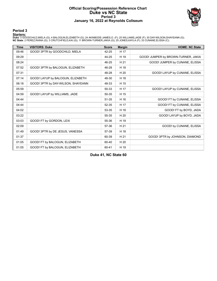### **Official Scoring/Possession Reference Chart Duke vs NC State Period 3 January 16, 2022 at Reynolds Coliseum**



# **Period 3**

<mark>Starters:</mark><br>Duke: 3 GOODCHILD,MIELA (G); 4 BALOGUN,ELIZABETH (G); 24 AKINBODE-JAMES,O. (F); 25 WILLIAMS,JADE (F); 30 DAY-WILSON,SHAYEANN (G);<br>**NC State**: 2 PEREZ,RAINA (G); 3 CRUTCHFIELD,KAI (G); 11 BROWN-TURNER,JAKIA (G);

| <b>Time</b> | <b>VISITORS: Duke</b>              | <b>Score</b> | <b>Margin</b> | <b>HOME: NC State</b>               |
|-------------|------------------------------------|--------------|---------------|-------------------------------------|
| 09:46       | GOOD! 3PTR by GOODCHILD, MIELA     | 42-25        | H 17          |                                     |
| 09:29       |                                    | 44-25        | H 19          | GOOD! JUMPER by BROWN-TURNER, JAKIA |
| 08:24       |                                    | 46-25        | H 21          | GOOD! JUMPER by CUNANE, ELISSA      |
| 07:52       | GOOD! 3PTR by BALOGUN, ELIZABETH   | 46-28        | H 18          |                                     |
| 07:31       |                                    | 48-28        | H 20          | GOOD! LAYUP by CUNANE, ELISSA       |
| 07:14       | GOOD! LAYUP by BALOGUN, ELIZABETH  | 48-30        | H 18          |                                     |
| 06:18       | GOOD! 3PTR by DAY-WILSON, SHAYEANN | 48-33        | H 15          |                                     |
| 05:59       |                                    | 50-33        | H 17          | GOOD! LAYUP by CUNANE, ELISSA       |
| 04:59       | GOOD! LAYUP by WILLIAMS, JADE      | 50-35        | H 15          |                                     |
| 04:44       |                                    | 51-35        | H 16          | GOOD! FT by CUNANE, ELISSA          |
| 04:44       |                                    | 52-35        | H 17          | GOOD! FT by CUNANE, ELISSA          |
| 04:02       |                                    | 53-35        | H 18          | GOOD! FT by BOYD, JADA              |
| 03:22       |                                    | 55-35        | H 20          | GOOD! LAYUP by BOYD, JADA           |
| 03:03       | GOOD! FT by GORDON, LEXI           | 55-36        | H 19          |                                     |
| 02:09       |                                    | 57-36        | H 21          | GOOD! by CUNANE, ELISSA             |
| 01:49       | GOOD! 3PTR by DE JESUS, VANESSA    | 57-39        | H 18          |                                     |
| 01:37       |                                    | 60-39        | H 21          | GOOD! 3PTR by JOHNSON, DIAMOND      |
| 01:05       | GOOD! FT by BALOGUN, ELIZABETH     | 60-40        | H 20          |                                     |
| 01:05       | GOOD! FT by BALOGUN, ELIZABETH     | 60-41        | H 19          |                                     |

**Duke 41, NC State 60**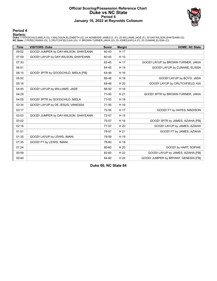### **Official Scoring/Possession Reference Chart Duke vs NC State Period 4 January 16, 2022 at Reynolds Coliseum**



**Period 4**

<mark>Starters:</mark><br>Duke: 3 GOODCHILD,MIELA (G); 4 BALOGUN,ELIZABETH (G); 24 AKINBODE-JAMES,O. (F); 25 WILLIAMS,JADE (F); 30 DAY-WILSON,SHAYEANN (G);<br>**NC State**: 2 PEREZ,RAINA (G); 3 CRUTCHFIELD,KAI (G); 11 BROWN-TURNER,JAKIA (G);

| <b>Time</b> | <b>VISITORS: Duke</b>                | <b>Score</b> | <b>Margin</b> | <b>HOME: NC State</b>                |
|-------------|--------------------------------------|--------------|---------------|--------------------------------------|
| 09:52       | GOOD! JUMPER by DAY-WILSON, SHAYEANN | 60-43        | H 17          |                                      |
| 07:59       | GOOD! LAYUP by DAY-WILSON, SHAYEANN  | 60-45        | H 15          |                                      |
| 07:33       |                                      | 62-45        | H 17          | GOOD! LAYUP by BROWN-TURNER, JAKIA   |
| 06:51       |                                      | 64-45        | H 19          | GOOD! LAYUP by CUNANE, ELISSA        |
| 06:15       | GOOD! 3PTR by GOODCHILD, MIELA [FB]  | 64-48        | H 16          |                                      |
| 05:52       |                                      | 66-48        | H 18          | GOOD! LAYUP by BOYD, JADA            |
| 05:16       |                                      | 68-48        | H 20          | GOOD! LAYUP by CRUTCHFIELD, KAI      |
| 04:45       | GOOD! LAYUP by WILLIAMS, JADE        | 68-50        | H 18          |                                      |
| 04:29       |                                      | 71-50        | H 21          | GOOD! 3PTR by BROWN-TURNER, JAKIA    |
| 04:05       | GOOD! 3PTR by GOODCHILD, MIELA       | $71 - 53$    | H 18          |                                      |
| 03:34       | GOOD! LAYUP by DE JESUS, VANESSA     | $71 - 55$    | H 16          |                                      |
| 03:17       |                                      | 72-55        | H 17          | GOOD! FT by HAYES, MADISON           |
| 03:03       | GOOD! JUMPER by DAY-WILSON, SHAYEANN | 72-57        | H 15          |                                      |
| 03:02       |                                      | 75-57        | H 18          | GOOD! 3PTR by JAMES, AZIAHA [FB]     |
| 02:16       |                                      | 77-57        | H 20          | GOOD! LAYUP by JAMES, AZIAHA         |
| 01:51       |                                      | 78-57        | H 21          | GOOD! FT by JAMES, AZIAHA            |
| 01:35       | GOOD! LAYUP by LEWIS, IMANI          | 78-59        | H 19          |                                      |
| 01:35       | GOOD! FT by LEWIS, IMANI             | 78-60        | H 18          |                                      |
| 01:24       |                                      | 80-60        | H 20          | GOOD! by HART, SOPHIE                |
| 00:59       |                                      | 82-60        | H 22          | GOOD! LAYUP by JAMES, AZIAHA [FB]    |
| 00:40       |                                      | 84-60        | H 24          | GOOD! JUMPER by BRYANT, GENESIS [FB] |

**Duke 60, NC State 84**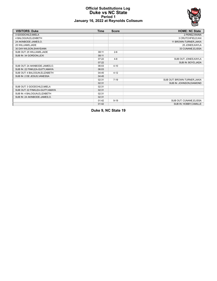### **Official Substitutions Log Duke vs NC State Period 1 January 16, 2022 at Reynolds Coliseum**



| <b>VISITORS: Duke</b>            | <b>Time</b> | <b>Score</b> | <b>HOME: NC State</b>        |
|----------------------------------|-------------|--------------|------------------------------|
| 3 GOODCHILD, MIELA               |             |              | 2 PEREZ, RAINA               |
| 4 BALOGUN, ELIZABETH             |             |              | 3 CRUTCHFIELD, KAI           |
| 24 AKINBODE-JAMES, O.            |             |              | 11 BROWN-TURNER, JAKIA       |
| 25 WILLIAMS, JADE                |             |              | 25 JONES, KAYLA              |
| 30 DAY-WILSON, SHAYEANN          |             |              | 33 CUNANE, ELISSA            |
| SUB OUT: 25 WILLIAMS, JADE       | 08:11       | $2 - 6$      |                              |
| SUB IN: 34 GORDON, LEXI          | 08:11       |              |                              |
|                                  | 07:22       | $4 - 8$      | SUB OUT: JONES, KAYLA        |
|                                  | 07:22       |              | SUB IN: BOYD, JADA           |
| SUB OUT: 24 AKINBODE-JAMES, O.   | 06:03       | $4 - 10$     |                              |
| SUB IN: 22 FINKLEA-GUITY, AMAYA  | 06:03       |              |                              |
| SUB OUT: 4 BALOGUN, ELIZABETH    | 04:45       | $4 - 12$     |                              |
| SUB IN: 2 DE JESUS, VANESSA      | 04:45       |              |                              |
|                                  | 02:31       | $7 - 19$     | SUB OUT: BROWN-TURNER, JAKIA |
|                                  | 02:31       |              | SUB IN: JOHNSON, DIAMOND     |
| SUB OUT: 3 GOODCHILD, MIELA      | 02:31       |              |                              |
| SUB OUT: 22 FINKLEA-GUITY, AMAYA | 02:31       |              |                              |
| SUB IN: 4 BALOGUN, ELIZABETH     | 02:31       |              |                              |
| SUB IN: 24 AKINBODE-JAMES, O.    | 02:31       |              |                              |
|                                  | 01:42       | $9 - 19$     | SUB OUT: CUNANE, ELISSA      |
|                                  | 01:42       |              | SUB IN: HOBBY, CAMILLE       |

**Duke 9, NC State 19**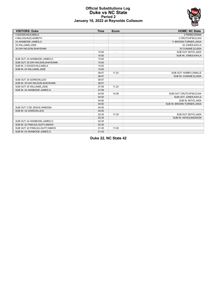

### **Official Substitutions Log Duke vs NC State Period 2 January 16, 2022 at Reynolds Coliseum**

| <b>VISITORS: Duke</b>            | <b>Time</b> | <b>Score</b>             | <b>HOME: NC State</b>       |
|----------------------------------|-------------|--------------------------|-----------------------------|
| 3 GOODCHILD.MIELA                |             |                          | 2 PEREZ, RAINA              |
| 4 BALOGUN.ELIZABETH              |             |                          | 3 CRUTCHFIELD, KAI          |
| 24 AKINBODE-JAMES.O.             |             |                          | 11 BROWN-TURNER, JAKIA      |
| 25 WILLIAMS, JADE                |             |                          | 25 JONES, KAYLA             |
| 30 DAY-WILSON, SHAYEANN          |             |                          | 33 CUNANE, ELISSA           |
|                                  | 10:00       | $\overline{\phantom{a}}$ | SUB OUT: BOYD, JADA         |
|                                  | 10:00       |                          | SUB IN: JONES, KAYLA        |
| SUB OUT: 24 AKINBODE-JAMES, O.   | 10:00       |                          |                             |
| SUB OUT: 30 DAY-WILSON, SHAYEANN | 10:00       |                          |                             |
| SUB IN: 3 GOODCHILD, MIELA       | 10:00       |                          |                             |
| SUB IN: 25 WILLIAMS, JADE        | 10:00       |                          |                             |
|                                  | 08:07       | $11 - 23$                | SUB OUT: HOBBY, CAMILLE     |
|                                  | 08:07       |                          | SUB IN: CUNANE, ELISSA      |
| SUB OUT: 34 GORDON, LEXI         | 08:07       |                          |                             |
| SUB IN: 30 DAY-WILSON, SHAYEANN  | 08:07       |                          |                             |
| SUB OUT: 25 WILLIAMS, JADE       | 07:59       | $11 - 23$                |                             |
| SUB IN: 24 AKINBODE-JAMES.O.     | 07:59       |                          |                             |
|                                  | 04:50       | 14-28                    | SUB OUT: CRUTCHFIELD, KAI   |
|                                  | 04:50       |                          | SUB OUT: JONES, KAYLA       |
|                                  | 04:50       |                          | SUB IN: BOYD, JADA          |
|                                  | 04:50       |                          | SUB IN: BROWN-TURNER, JAKIA |
| SUB OUT: 2 DE JESUS.VANESSA      | 04:50       |                          |                             |
| SUB IN: 34 GORDON, LEXI          | 04:50       |                          |                             |
|                                  | 02:35       | $17 - 35$                | SUB OUT: BOYD, JADA         |
|                                  | 02:35       |                          | SUB IN: HAYES, MADISON      |
| SUB OUT: 24 AKINBODE-JAMES, O.   | 02:35       |                          |                             |
| SUB IN: 22 FINKLEA-GUITY, AMAYA  | 02:35       |                          |                             |
| SUB OUT: 22 FINKLEA-GUITY, AMAYA | 01:45       | $17-40$                  |                             |
| SUB IN: 24 AKINBODE-JAMES.O.     | 01:45       |                          |                             |

**Duke 22, NC State 42**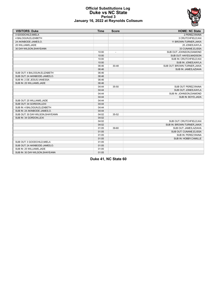

### **Official Substitutions Log Duke vs NC State Period 3 January 16, 2022 at Reynolds Coliseum**

| <b>VISITORS: Duke</b>            | <b>Time</b> | <b>Score</b>             | <b>HOME: NC State</b>        |
|----------------------------------|-------------|--------------------------|------------------------------|
| 3 GOODCHILD.MIELA                |             |                          | 2 PEREZ, RAINA               |
| 4 BALOGUN, ELIZABETH             |             |                          | 3 CRUTCHFIELD, KAI           |
| 24 AKINBODE-JAMES, O.            |             |                          | 11 BROWN-TURNER, JAKIA       |
| 25 WILLIAMS.JADE                 |             |                          | 25 JONES, KAYLA              |
| 30 DAY-WILSON, SHAYEANN          |             |                          | 33 CUNANE, ELISSA            |
|                                  | 10:00       | $\overline{\phantom{a}}$ | SUB OUT: JOHNSON, DIAMOND    |
|                                  | 10:00       |                          | SUB OUT: HAYES, MADISON      |
|                                  | 10:00       |                          | SUB IN: CRUTCHFIELD, KAI     |
|                                  | 10:00       |                          | SUB IN: JONES, KAYLA         |
|                                  | 06:46       | 30-48                    | SUB OUT: BROWN-TURNER, JAKIA |
|                                  | 06:46       |                          | SUB IN: JAMES, AZIAHA        |
| SUB OUT: 4 BALOGUN, ELIZABETH    | 06:46       |                          |                              |
| SUB OUT: 24 AKINBODE-JAMES.O.    | 06:46       |                          |                              |
| SUB IN: 2 DE JESUS, VANESSA      | 06:46       |                          |                              |
| SUB IN: 25 WILLIAMS, JADE        | 06:46       |                          |                              |
|                                  | 04:44       | 35-50                    | SUB OUT: PEREZ, RAINA        |
|                                  | 04:44       |                          | SUB OUT: JONES, KAYLA        |
|                                  | 04:44       |                          | SUB IN: JOHNSON, DIAMOND     |
|                                  | 04:44       |                          | SUB IN: BOYD, JADA           |
| SUB OUT: 25 WILLIAMS, JADE       | 04:44       |                          |                              |
| SUB OUT: 34 GORDON, LEXI         | 04:44       |                          |                              |
| SUB IN: 4 BALOGUN, ELIZABETH     | 04:44       |                          |                              |
| SUB IN: 24 AKINBODE-JAMES, O.    | 04:44       |                          |                              |
| SUB OUT: 30 DAY-WILSON, SHAYEANN | 04:02       | 35-52                    |                              |
| SUB IN: 34 GORDON.LEXI           | 04:02       |                          |                              |
|                                  | 04:02       |                          | SUB OUT: CRUTCHFIELD, KAI    |
|                                  | 04:02       |                          | SUB IN: BROWN-TURNER, JAKIA  |
|                                  | 01:05       | 39-60                    | SUB OUT: JAMES, AZIAHA       |
|                                  | 01:05       |                          | SUB OUT: CUNANE, ELISSA      |
|                                  | 01:05       |                          | SUB IN: PEREZ, RAINA         |
|                                  | 01:05       |                          | SUB IN: HOBBY, CAMILLE       |
| SUB OUT: 3 GOODCHILD.MIELA       | 01:05       |                          |                              |
| SUB OUT: 24 AKINBODE-JAMES, O.   | 01:05       |                          |                              |
| SUB IN: 25 WILLIAMS, JADE        | 01:05       |                          |                              |
| SUB IN: 30 DAY-WILSON, SHAYEANN  | 01:05       |                          |                              |

**Duke 41, NC State 60**